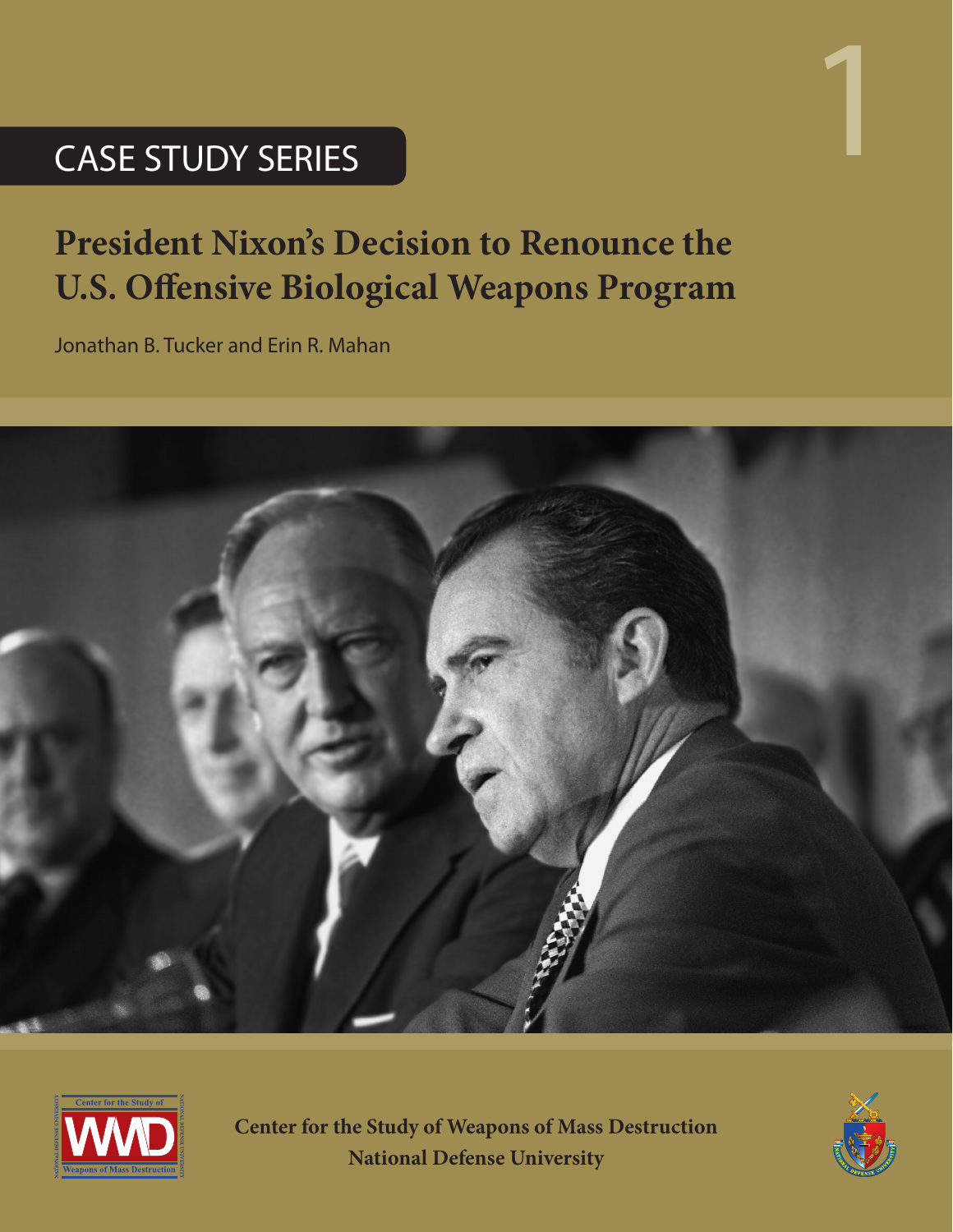# CASE STUDY SERIES

## **President Nixon's Decision to Renounce the U.S. Offensive Biological Weapons Program**

Jonathan B. Tucker and Erin R. Mahan





**Center for the Study of Weapons of Mass Destruction National Defense University**



1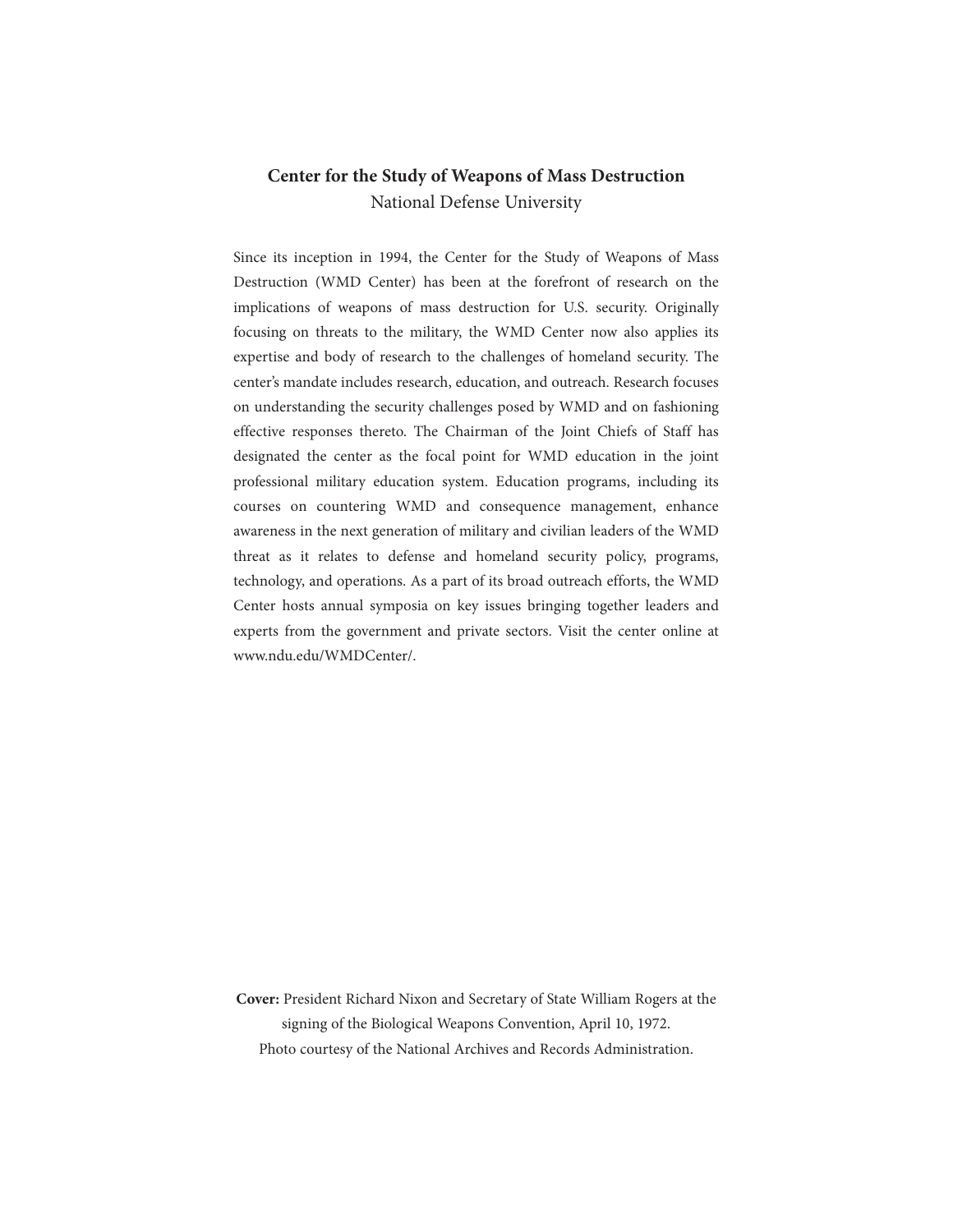## **Center for the Study of Weapons of Mass Destruction** National Defense University

Since its inception in 1994, the Center for the Study of Weapons of Mass Destruction (WMD Center) has been at the forefront of research on the implications of weapons of mass destruction for U.S. security. Originally focusing on threats to the military, the WMD Center now also applies its expertise and body of research to the challenges of homeland security. The center's mandate includes research, education, and outreach. Research focuses on understanding the security challenges posed by WMD and on fashioning effective responses thereto. The Chairman of the Joint Chiefs of Staff has designated the center as the focal point for WMD education in the joint professional military education system. Education programs, including its courses on countering WMD and consequence management, enhance awareness in the next generation of military and civilian leaders of the WMD threat as it relates to defense and homeland security policy, programs, technology, and operations. As a part of its broad outreach efforts, the WMD Center hosts annual symposia on key issues bringing together leaders and experts from the government and private sectors. Visit the center online at www.ndu.edu/WMDCenter/.

**Cover:** President Richard Nixon and Secretary of State William Rogers at the signing of the Biological Weapons Convention, April 10, 1972. Photo courtesy of the National Archives and Records Administration.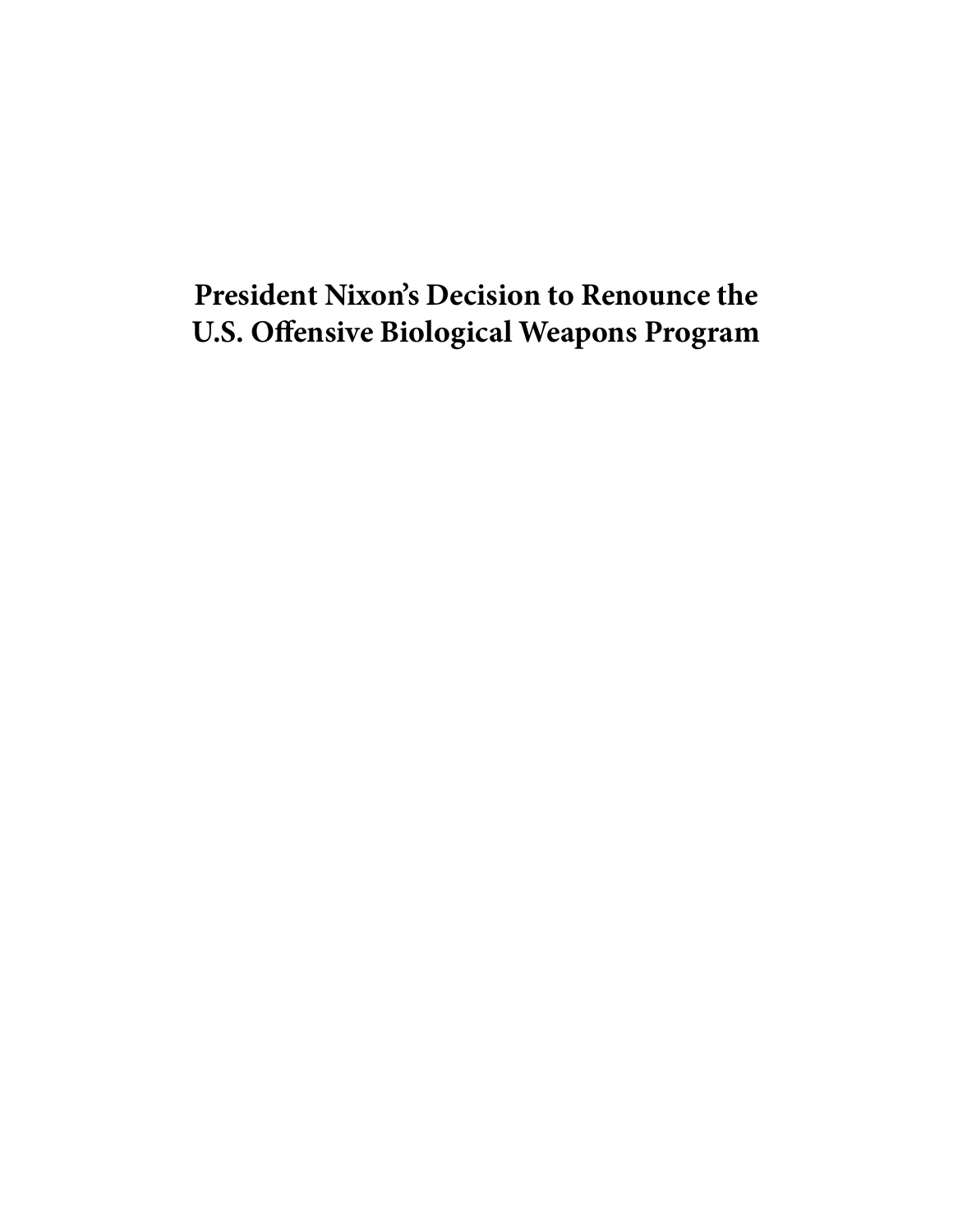## **President Nixon's Decision to Renounce the U.S. Offensive Biological Weapons Program**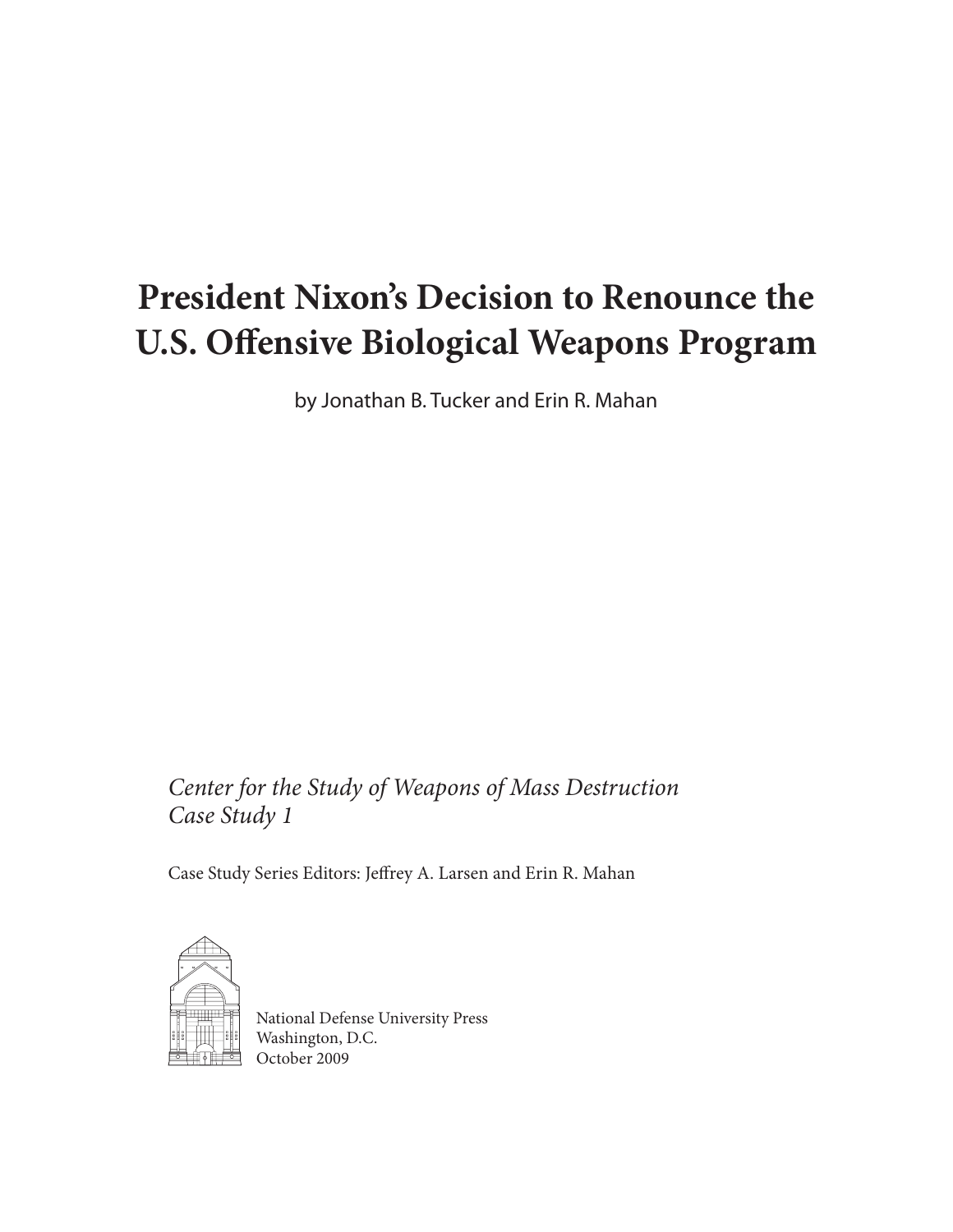## **President Nixon's Decision to Renounce the U.S. Offensive Biological Weapons Program**

by Jonathan B. Tucker and Erin R. Mahan

*Center for the Study of Weapons of Mass Destruction Case Study 1*

Case Study Series Editors: Jeffrey A. Larsen and Erin R. Mahan



National Defense University Press Washington, D.C. October 2009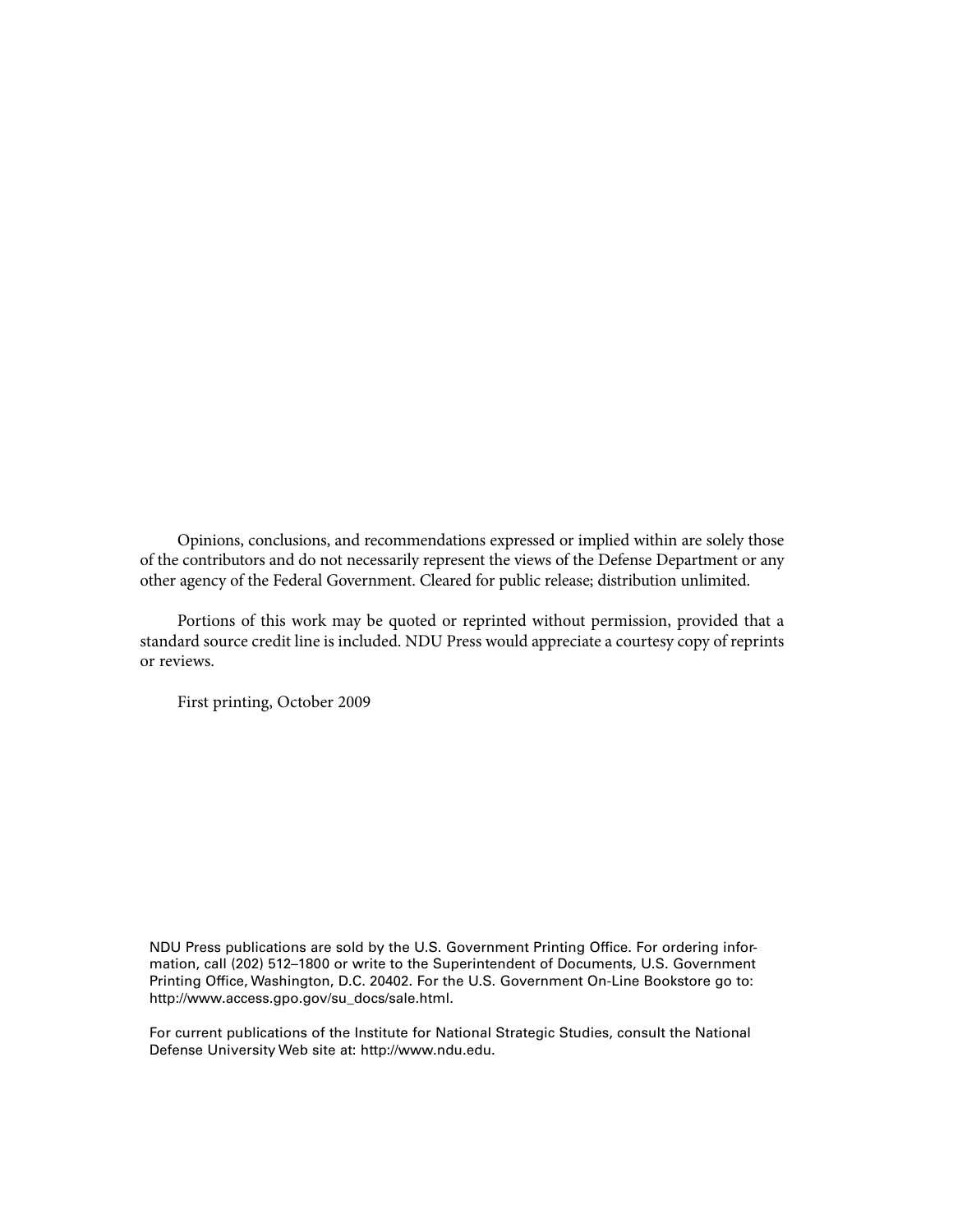Opinions, conclusions, and recommendations expressed or implied within are solely those of the contributors and do not necessarily represent the views of the Defense Department or any other agency of the Federal Government. Cleared for public release; distribution unlimited.

Portions of this work may be quoted or reprinted without permission, provided that a standard source credit line is included. NDU Press would appreciate a courtesy copy of reprints or reviews.

First printing, October 2009

NDU Press publications are sold by the U.S. Government Printing Office. For ordering information, call (202) 512–1800 or write to the Superintendent of Documents, U.S. Government Printing Office, Washington, D.C. 20402. For the U.S. Government On-Line Bookstore go to: http://www.access.gpo.gov/su\_docs/sale.html.

For current publications of the Institute for National Strategic Studies, consult the National Defense University Web site at: http://www.ndu.edu.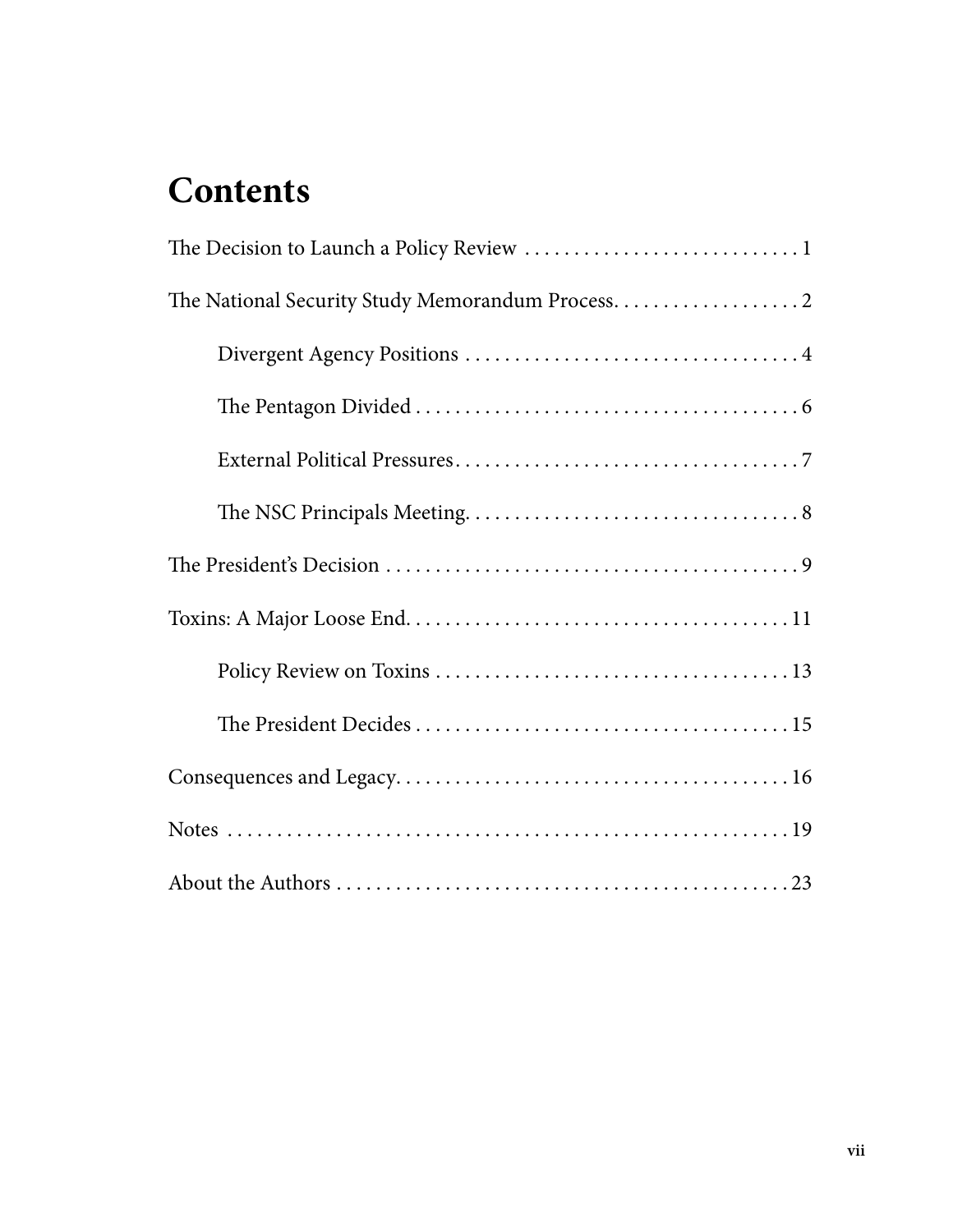## **Contents**

| The National Security Study Memorandum Process. 2 |
|---------------------------------------------------|
|                                                   |
|                                                   |
|                                                   |
|                                                   |
|                                                   |
|                                                   |
|                                                   |
|                                                   |
|                                                   |
|                                                   |
|                                                   |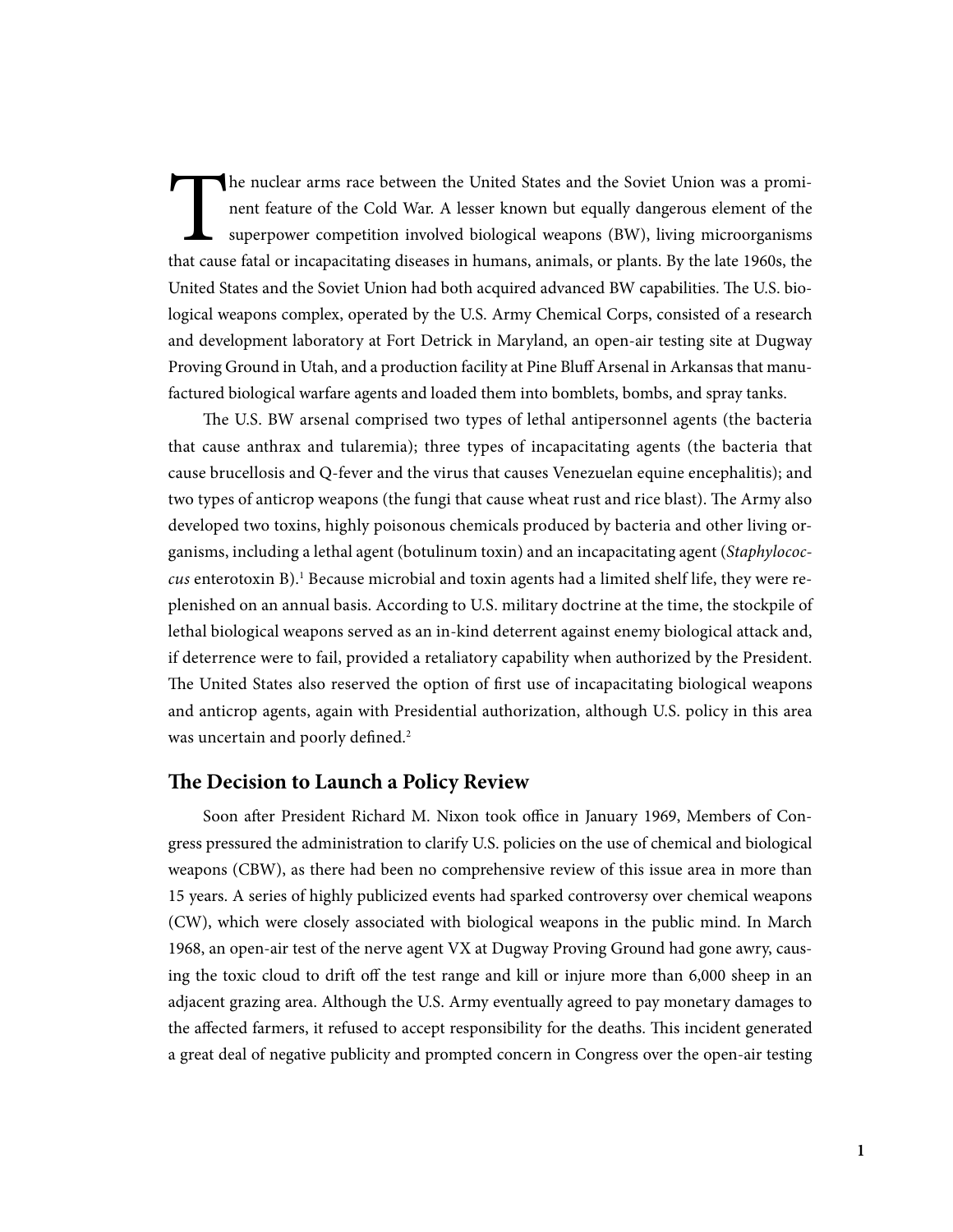The nuclear arms race between the United States and the Soviet Union was a prominent feature of the Cold War. A lesser known but equally dangerous element of the superpower competition involved biological weapons (BW), liv nent feature of the Cold War. A lesser known but equally dangerous element of the superpower competition involved biological weapons (BW), living microorganisms that cause fatal or incapacitating diseases in humans, animals, or plants. By the late 1960s, the United States and the Soviet Union had both acquired advanced BW capabilities. The U.S. biological weapons complex, operated by the U.S. Army Chemical Corps, consisted of a research and development laboratory at Fort Detrick in Maryland, an open-air testing site at Dugway Proving Ground in Utah, and a production facility at Pine Bluff Arsenal in Arkansas that manufactured biological warfare agents and loaded them into bomblets, bombs, and spray tanks.

The U.S. BW arsenal comprised two types of lethal antipersonnel agents (the bacteria that cause anthrax and tularemia); three types of incapacitating agents (the bacteria that cause brucellosis and Q-fever and the virus that causes Venezuelan equine encephalitis); and two types of anticrop weapons (the fungi that cause wheat rust and rice blast). The Army also developed two toxins, highly poisonous chemicals produced by bacteria and other living organisms, including a lethal agent (botulinum toxin) and an incapacitating agent (*Staphylococcus* enterotoxin B).1 Because microbial and toxin agents had a limited shelf life, they were replenished on an annual basis. According to U.S. military doctrine at the time, the stockpile of lethal biological weapons served as an in-kind deterrent against enemy biological attack and, if deterrence were to fail, provided a retaliatory capability when authorized by the President. The United States also reserved the option of first use of incapacitating biological weapons and anticrop agents, again with Presidential authorization, although U.S. policy in this area was uncertain and poorly defined.<sup>2</sup>

## **The Decision to Launch a Policy Review**

Soon after President Richard M. Nixon took office in January 1969, Members of Congress pressured the administration to clarify U.S. policies on the use of chemical and biological weapons (CBW), as there had been no comprehensive review of this issue area in more than 15 years. A series of highly publicized events had sparked controversy over chemical weapons (CW), which were closely associated with biological weapons in the public mind. In March 1968, an open-air test of the nerve agent VX at Dugway Proving Ground had gone awry, causing the toxic cloud to drift off the test range and kill or injure more than 6,000 sheep in an adjacent grazing area. Although the U.S. Army eventually agreed to pay monetary damages to the affected farmers, it refused to accept responsibility for the deaths. This incident generated a great deal of negative publicity and prompted concern in Congress over the open-air testing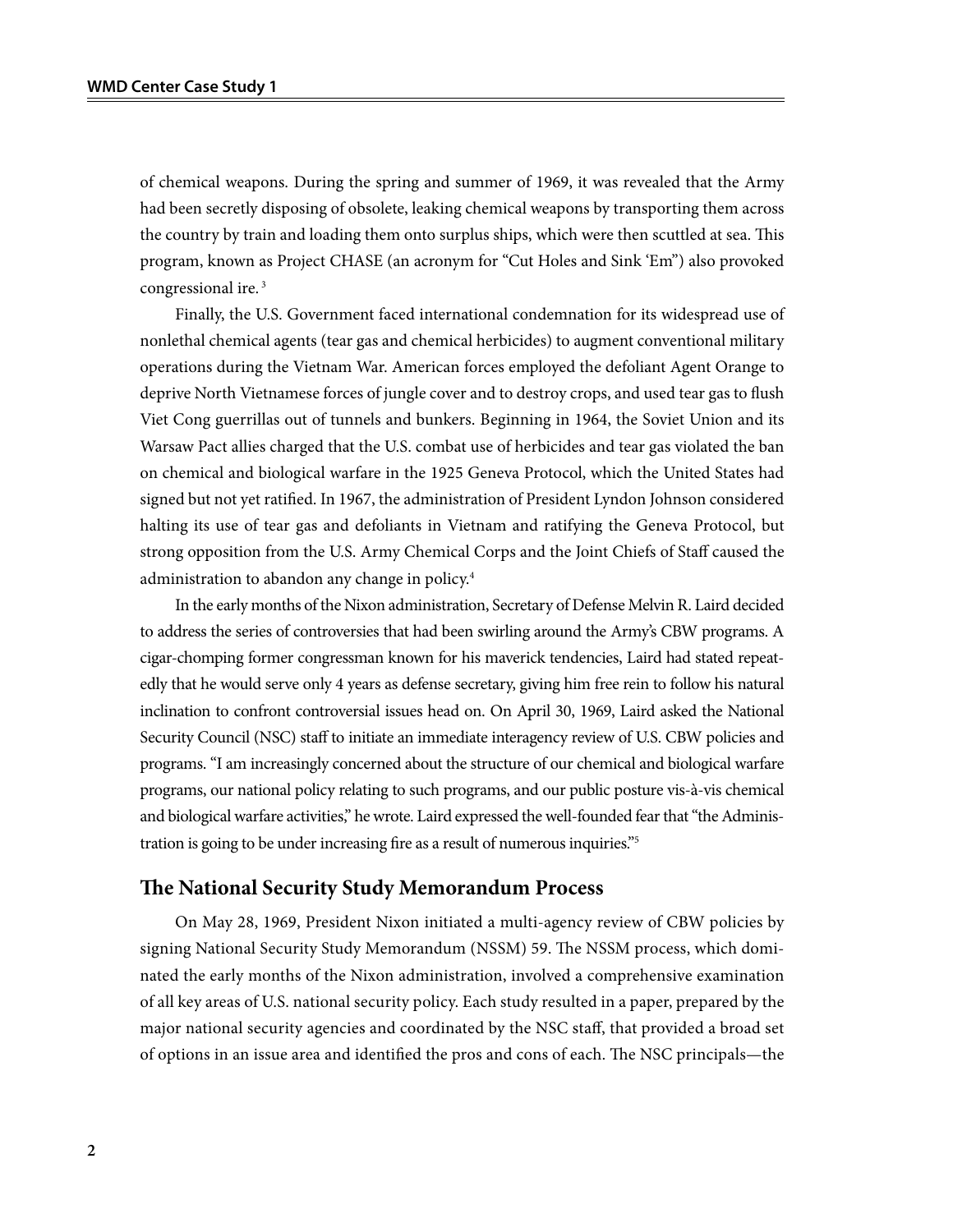of chemical weapons. During the spring and summer of 1969, it was revealed that the Army had been secretly disposing of obsolete, leaking chemical weapons by transporting them across the country by train and loading them onto surplus ships, which were then scuttled at sea. This program, known as Project CHASE (an acronym for "Cut Holes and Sink 'Em") also provoked congressional ire. 3

Finally, the U.S. Government faced international condemnation for its widespread use of nonlethal chemical agents (tear gas and chemical herbicides) to augment conventional military operations during the Vietnam War. American forces employed the defoliant Agent Orange to deprive North Vietnamese forces of jungle cover and to destroy crops, and used tear gas to flush Viet Cong guerrillas out of tunnels and bunkers. Beginning in 1964, the Soviet Union and its Warsaw Pact allies charged that the U.S. combat use of herbicides and tear gas violated the ban on chemical and biological warfare in the 1925 Geneva Protocol, which the United States had signed but not yet ratified. In 1967, the administration of President Lyndon Johnson considered halting its use of tear gas and defoliants in Vietnam and ratifying the Geneva Protocol, but strong opposition from the U.S. Army Chemical Corps and the Joint Chiefs of Staff caused the administration to abandon any change in policy.4

In the early months of the Nixon administration, Secretary of Defense Melvin R. Laird decided to address the series of controversies that had been swirling around the Army's CBW programs. A cigar-chomping former congressman known for his maverick tendencies, Laird had stated repeatedly that he would serve only 4 years as defense secretary, giving him free rein to follow his natural inclination to confront controversial issues head on. On April 30, 1969, Laird asked the National Security Council (NSC) staff to initiate an immediate interagency review of U.S. CBW policies and programs. "I am increasingly concerned about the structure of our chemical and biological warfare programs, our national policy relating to such programs, and our public posture vis-à-vis chemical and biological warfare activities," he wrote. Laird expressed the well-founded fear that "the Administration is going to be under increasing fire as a result of numerous inquiries."5

#### **The National Security Study Memorandum Process**

On May 28, 1969, President Nixon initiated a multi-agency review of CBW policies by signing National Security Study Memorandum (NSSM) 59. The NSSM process, which dominated the early months of the Nixon administration, involved a comprehensive examination of all key areas of U.S. national security policy. Each study resulted in a paper, prepared by the major national security agencies and coordinated by the NSC staff, that provided a broad set of options in an issue area and identified the pros and cons of each. The NSC principals—the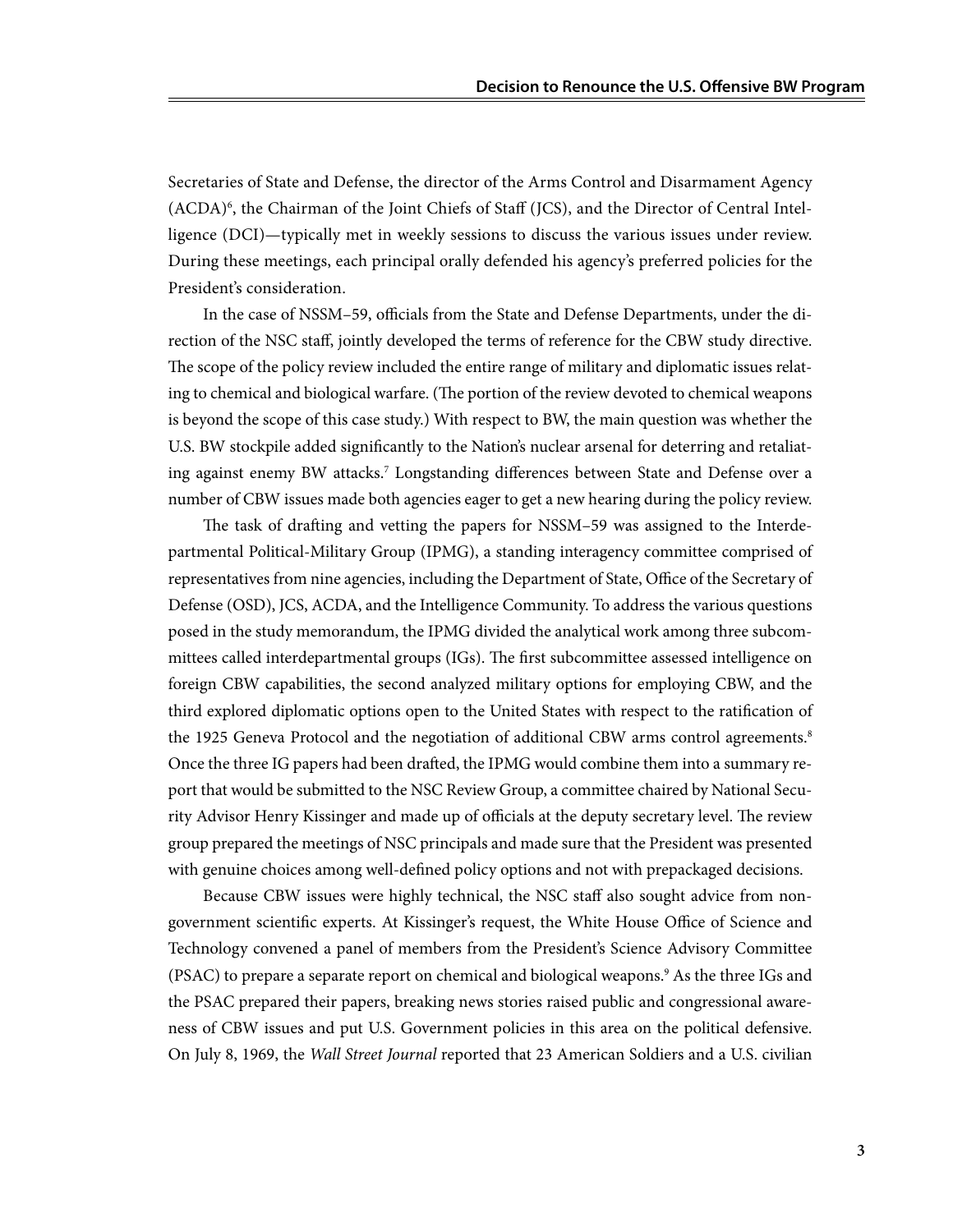Secretaries of State and Defense, the director of the Arms Control and Disarmament Agency (ACDA)<sup>6</sup>, the Chairman of the Joint Chiefs of Staff (JCS), and the Director of Central Intelligence (DCI)—typically met in weekly sessions to discuss the various issues under review. During these meetings, each principal orally defended his agency's preferred policies for the President's consideration.

In the case of NSSM–59, officials from the State and Defense Departments, under the direction of the NSC staff, jointly developed the terms of reference for the CBW study directive. The scope of the policy review included the entire range of military and diplomatic issues relating to chemical and biological warfare. (The portion of the review devoted to chemical weapons is beyond the scope of this case study.) With respect to BW, the main question was whether the U.S. BW stockpile added significantly to the Nation's nuclear arsenal for deterring and retaliating against enemy BW attacks.<sup>7</sup> Longstanding differences between State and Defense over a number of CBW issues made both agencies eager to get a new hearing during the policy review.

The task of drafting and vetting the papers for NSSM–59 was assigned to the Interdepartmental Political-Military Group (IPMG), a standing interagency committee comprised of representatives from nine agencies, including the Department of State, Office of the Secretary of Defense (OSD), JCS, ACDA, and the Intelligence Community. To address the various questions posed in the study memorandum, the IPMG divided the analytical work among three subcommittees called interdepartmental groups (IGs). The first subcommittee assessed intelligence on foreign CBW capabilities, the second analyzed military options for employing CBW, and the third explored diplomatic options open to the United States with respect to the ratification of the 1925 Geneva Protocol and the negotiation of additional CBW arms control agreements.<sup>8</sup> Once the three IG papers had been drafted, the IPMG would combine them into a summary report that would be submitted to the NSC Review Group, a committee chaired by National Security Advisor Henry Kissinger and made up of officials at the deputy secretary level. The review group prepared the meetings of NSC principals and made sure that the President was presented with genuine choices among well-defined policy options and not with prepackaged decisions.

Because CBW issues were highly technical, the NSC staff also sought advice from nongovernment scientific experts. At Kissinger's request, the White House Office of Science and Technology convened a panel of members from the President's Science Advisory Committee (PSAC) to prepare a separate report on chemical and biological weapons.9 As the three IGs and the PSAC prepared their papers, breaking news stories raised public and congressional awareness of CBW issues and put U.S. Government policies in this area on the political defensive. On July 8, 1969, the *Wall Street Journal* reported that 23 American Soldiers and a U.S. civilian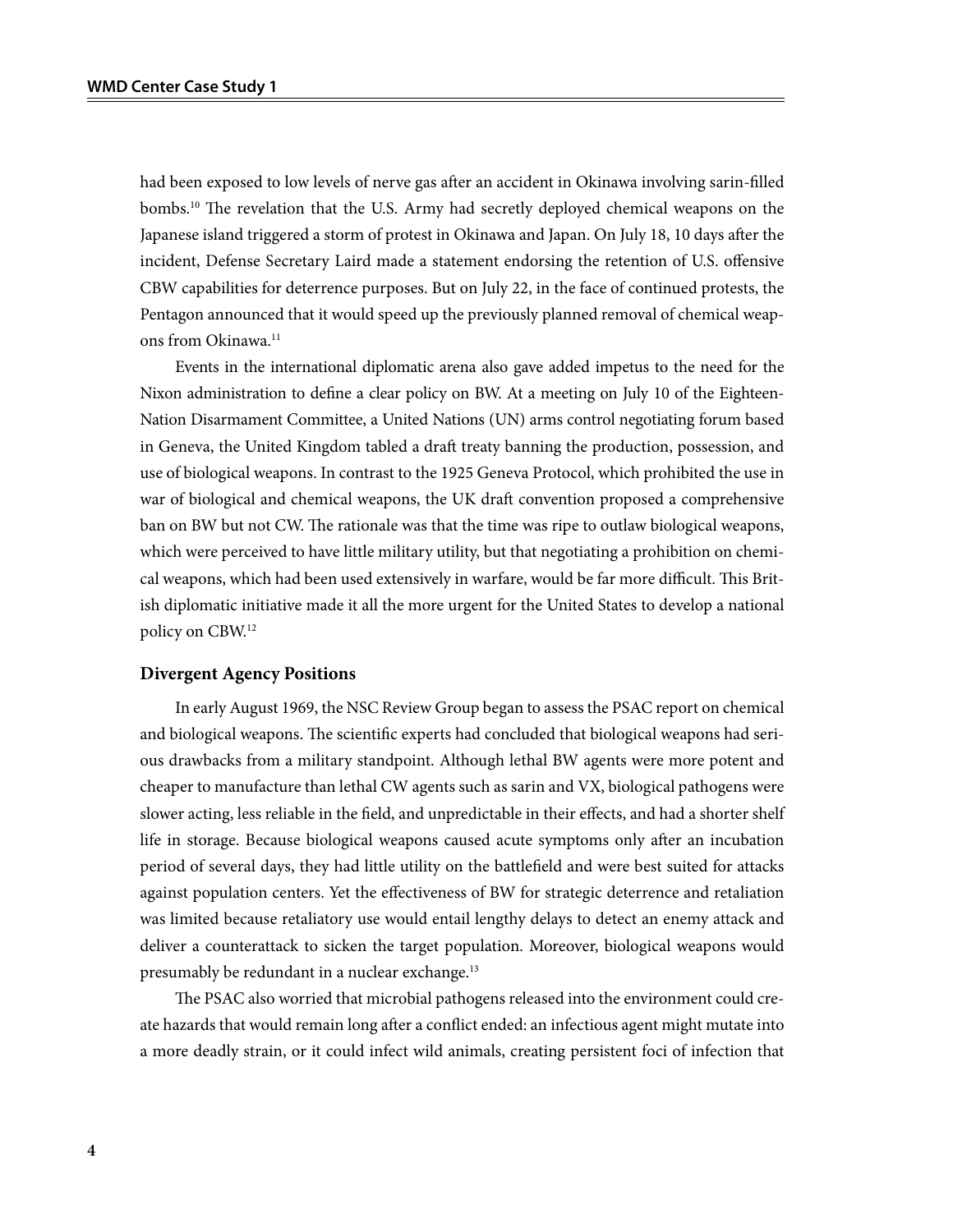had been exposed to low levels of nerve gas after an accident in Okinawa involving sarin-filled bombs.10 The revelation that the U.S. Army had secretly deployed chemical weapons on the Japanese island triggered a storm of protest in Okinawa and Japan. On July 18, 10 days after the incident, Defense Secretary Laird made a statement endorsing the retention of U.S. offensive CBW capabilities for deterrence purposes. But on July 22, in the face of continued protests, the Pentagon announced that it would speed up the previously planned removal of chemical weapons from Okinawa.<sup>11</sup>

Events in the international diplomatic arena also gave added impetus to the need for the Nixon administration to define a clear policy on BW. At a meeting on July 10 of the Eighteen-Nation Disarmament Committee, a United Nations (UN) arms control negotiating forum based in Geneva, the United Kingdom tabled a draft treaty banning the production, possession, and use of biological weapons. In contrast to the 1925 Geneva Protocol, which prohibited the use in war of biological and chemical weapons, the UK draft convention proposed a comprehensive ban on BW but not CW. The rationale was that the time was ripe to outlaw biological weapons, which were perceived to have little military utility, but that negotiating a prohibition on chemical weapons, which had been used extensively in warfare, would be far more difficult. This British diplomatic initiative made it all the more urgent for the United States to develop a national policy on CBW.12

#### **Divergent Agency Positions**

In early August 1969, the NSC Review Group began to assess the PSAC report on chemical and biological weapons. The scientific experts had concluded that biological weapons had serious drawbacks from a military standpoint. Although lethal BW agents were more potent and cheaper to manufacture than lethal CW agents such as sarin and VX, biological pathogens were slower acting, less reliable in the field, and unpredictable in their effects, and had a shorter shelf life in storage. Because biological weapons caused acute symptoms only after an incubation period of several days, they had little utility on the battlefield and were best suited for attacks against population centers. Yet the effectiveness of BW for strategic deterrence and retaliation was limited because retaliatory use would entail lengthy delays to detect an enemy attack and deliver a counterattack to sicken the target population. Moreover, biological weapons would presumably be redundant in a nuclear exchange.13

The PSAC also worried that microbial pathogens released into the environment could create hazards that would remain long after a conflict ended: an infectious agent might mutate into a more deadly strain, or it could infect wild animals, creating persistent foci of infection that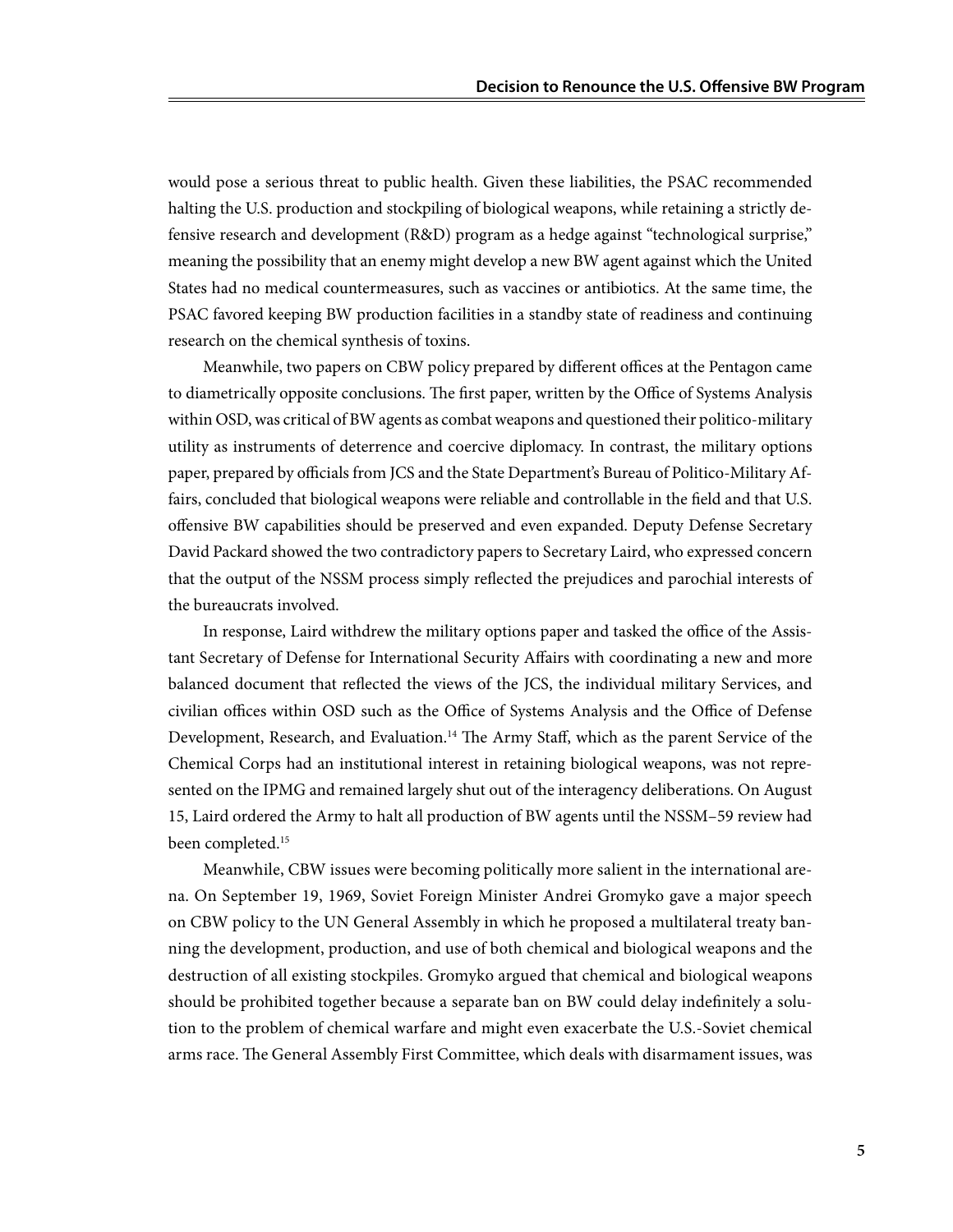would pose a serious threat to public health. Given these liabilities, the PSAC recommended halting the U.S. production and stockpiling of biological weapons, while retaining a strictly defensive research and development (R&D) program as a hedge against "technological surprise," meaning the possibility that an enemy might develop a new BW agent against which the United States had no medical countermeasures, such as vaccines or antibiotics. At the same time, the PSAC favored keeping BW production facilities in a standby state of readiness and continuing research on the chemical synthesis of toxins.

Meanwhile, two papers on CBW policy prepared by different offices at the Pentagon came to diametrically opposite conclusions. The first paper, written by the Office of Systems Analysis within OSD, was critical of BW agents as combat weapons and questioned their politico-military utility as instruments of deterrence and coercive diplomacy. In contrast, the military options paper, prepared by officials from JCS and the State Department's Bureau of Politico-Military Affairs, concluded that biological weapons were reliable and controllable in the field and that U.S. offensive BW capabilities should be preserved and even expanded. Deputy Defense Secretary David Packard showed the two contradictory papers to Secretary Laird, who expressed concern that the output of the NSSM process simply reflected the prejudices and parochial interests of the bureaucrats involved.

In response, Laird withdrew the military options paper and tasked the office of the Assistant Secretary of Defense for International Security Affairs with coordinating a new and more balanced document that reflected the views of the JCS, the individual military Services, and civilian offices within OSD such as the Office of Systems Analysis and the Office of Defense Development, Research, and Evaluation.<sup>14</sup> The Army Staff, which as the parent Service of the Chemical Corps had an institutional interest in retaining biological weapons, was not represented on the IPMG and remained largely shut out of the interagency deliberations. On August 15, Laird ordered the Army to halt all production of BW agents until the NSSM–59 review had been completed.<sup>15</sup>

Meanwhile, CBW issues were becoming politically more salient in the international arena. On September 19, 1969, Soviet Foreign Minister Andrei Gromyko gave a major speech on CBW policy to the UN General Assembly in which he proposed a multilateral treaty banning the development, production, and use of both chemical and biological weapons and the destruction of all existing stockpiles. Gromyko argued that chemical and biological weapons should be prohibited together because a separate ban on BW could delay indefinitely a solution to the problem of chemical warfare and might even exacerbate the U.S.-Soviet chemical arms race. The General Assembly First Committee, which deals with disarmament issues, was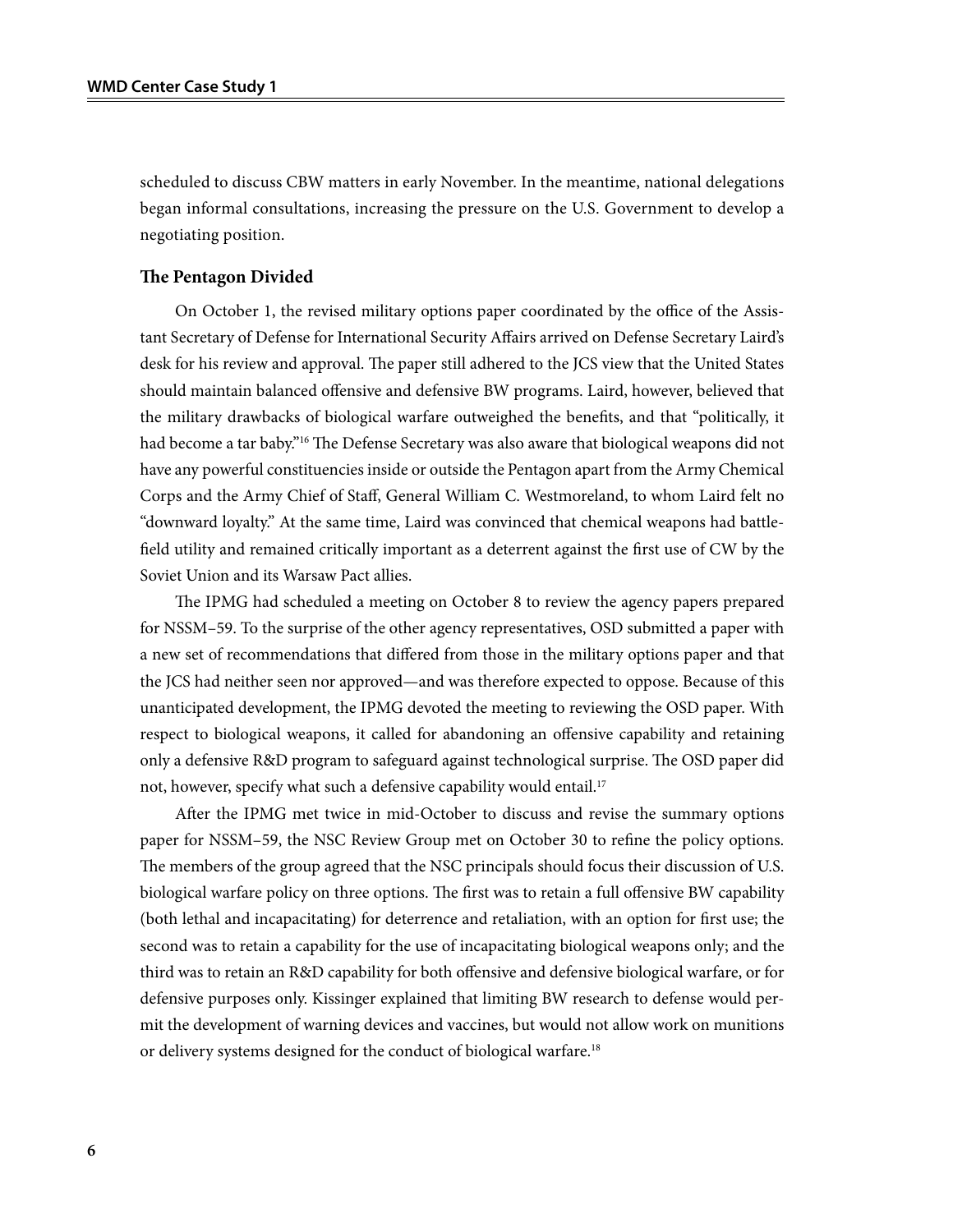scheduled to discuss CBW matters in early November. In the meantime, national delegations began informal consultations, increasing the pressure on the U.S. Government to develop a negotiating position.

#### **The Pentagon Divided**

On October 1, the revised military options paper coordinated by the office of the Assistant Secretary of Defense for International Security Affairs arrived on Defense Secretary Laird's desk for his review and approval. The paper still adhered to the JCS view that the United States should maintain balanced offensive and defensive BW programs. Laird, however, believed that the military drawbacks of biological warfare outweighed the benefits, and that "politically, it had become a tar baby."<sup>16</sup> The Defense Secretary was also aware that biological weapons did not have any powerful constituencies inside or outside the Pentagon apart from the Army Chemical Corps and the Army Chief of Staff, General William C. Westmoreland, to whom Laird felt no "downward loyalty." At the same time, Laird was convinced that chemical weapons had battlefield utility and remained critically important as a deterrent against the first use of CW by the Soviet Union and its Warsaw Pact allies.

The IPMG had scheduled a meeting on October 8 to review the agency papers prepared for NSSM–59. To the surprise of the other agency representatives, OSD submitted a paper with a new set of recommendations that differed from those in the military options paper and that the JCS had neither seen nor approved—and was therefore expected to oppose. Because of this unanticipated development, the IPMG devoted the meeting to reviewing the OSD paper. With respect to biological weapons, it called for abandoning an offensive capability and retaining only a defensive R&D program to safeguard against technological surprise. The OSD paper did not, however, specify what such a defensive capability would entail.<sup>17</sup>

After the IPMG met twice in mid-October to discuss and revise the summary options paper for NSSM–59, the NSC Review Group met on October 30 to refine the policy options. The members of the group agreed that the NSC principals should focus their discussion of U.S. biological warfare policy on three options. The first was to retain a full offensive BW capability (both lethal and incapacitating) for deterrence and retaliation, with an option for first use; the second was to retain a capability for the use of incapacitating biological weapons only; and the third was to retain an R&D capability for both offensive and defensive biological warfare, or for defensive purposes only. Kissinger explained that limiting BW research to defense would permit the development of warning devices and vaccines, but would not allow work on munitions or delivery systems designed for the conduct of biological warfare.<sup>18</sup>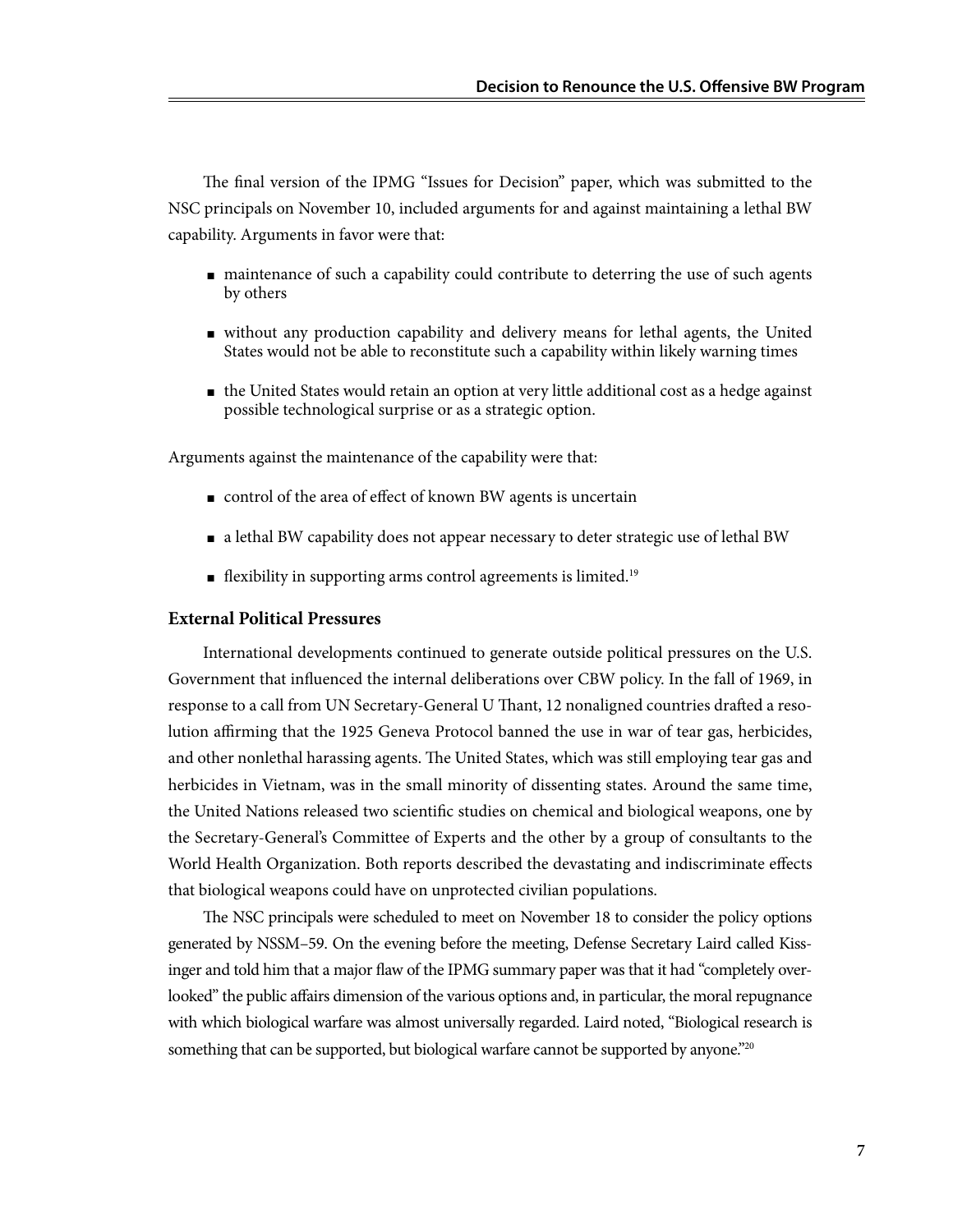The final version of the IPMG "Issues for Decision" paper, which was submitted to the NSC principals on November 10, included arguments for and against maintaining a lethal BW capability. Arguments in favor were that:

- maintenance of such a capability could contribute to deterring the use of such agents by others
- without any production capability and delivery means for lethal agents, the United States would not be able to reconstitute such a capability within likely warning times
- the United States would retain an option at very little additional cost as a hedge against possible technological surprise or as a strategic option.

Arguments against the maintenance of the capability were that:

- control of the area of effect of known BW agents is uncertain
- a lethal BW capability does not appear necessary to deter strategic use of lethal BW
- $\blacksquare$  flexibility in supporting arms control agreements is limited.<sup>19</sup>

#### **External Political Pressures**

International developments continued to generate outside political pressures on the U.S. Government that influenced the internal deliberations over CBW policy. In the fall of 1969, in response to a call from UN Secretary-General U Thant, 12 nonaligned countries drafted a resolution affirming that the 1925 Geneva Protocol banned the use in war of tear gas, herbicides, and other nonlethal harassing agents. The United States, which was still employing tear gas and herbicides in Vietnam, was in the small minority of dissenting states. Around the same time, the United Nations released two scientific studies on chemical and biological weapons, one by the Secretary-General's Committee of Experts and the other by a group of consultants to the World Health Organization. Both reports described the devastating and indiscriminate effects that biological weapons could have on unprotected civilian populations.

The NSC principals were scheduled to meet on November 18 to consider the policy options generated by NSSM–59. On the evening before the meeting, Defense Secretary Laird called Kissinger and told him that a major flaw of the IPMG summary paper was that it had "completely overlooked" the public affairs dimension of the various options and, in particular, the moral repugnance with which biological warfare was almost universally regarded. Laird noted, "Biological research is something that can be supported, but biological warfare cannot be supported by anyone."<sup>20</sup>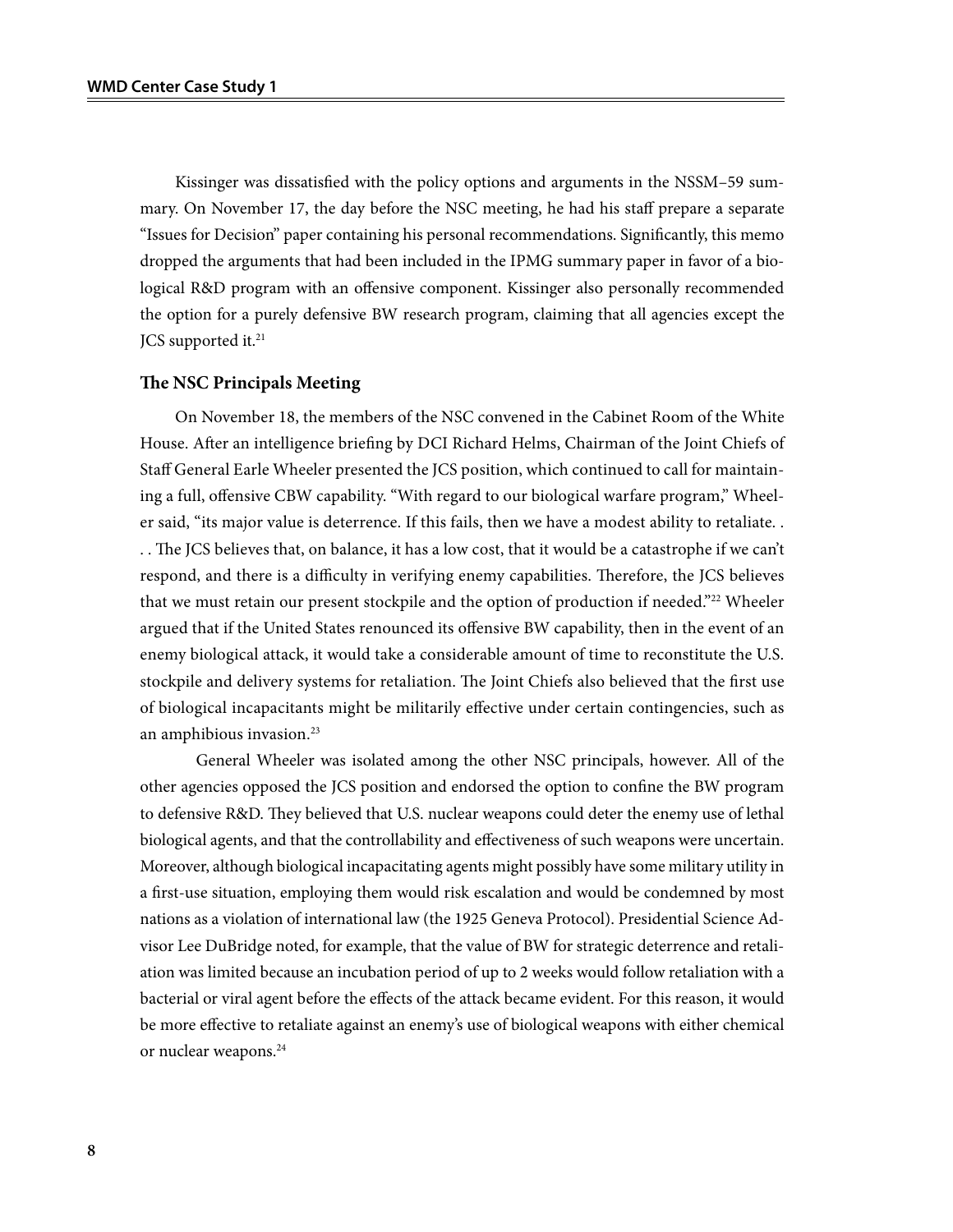Kissinger was dissatisfied with the policy options and arguments in the NSSM–59 summary. On November 17, the day before the NSC meeting, he had his staff prepare a separate "Issues for Decision" paper containing his personal recommendations. Significantly, this memo dropped the arguments that had been included in the IPMG summary paper in favor of a biological R&D program with an offensive component. Kissinger also personally recommended the option for a purely defensive BW research program, claiming that all agencies except the JCS supported it.<sup>21</sup>

#### **The NSC Principals Meeting**

On November 18, the members of the NSC convened in the Cabinet Room of the White House. After an intelligence briefing by DCI Richard Helms, Chairman of the Joint Chiefs of Staff General Earle Wheeler presented the JCS position, which continued to call for maintaining a full, offensive CBW capability. "With regard to our biological warfare program," Wheeler said, "its major value is deterrence. If this fails, then we have a modest ability to retaliate. . . . The JCS believes that, on balance, it has a low cost, that it would be a catastrophe if we can't respond, and there is a difficulty in verifying enemy capabilities. Therefore, the JCS believes that we must retain our present stockpile and the option of production if needed."22 Wheeler argued that if the United States renounced its offensive BW capability, then in the event of an enemy biological attack, it would take a considerable amount of time to reconstitute the U.S. stockpile and delivery systems for retaliation. The Joint Chiefs also believed that the first use of biological incapacitants might be militarily effective under certain contingencies, such as an amphibious invasion.<sup>23</sup>

General Wheeler was isolated among the other NSC principals, however. All of the other agencies opposed the JCS position and endorsed the option to confine the BW program to defensive R&D. They believed that U.S. nuclear weapons could deter the enemy use of lethal biological agents, and that the controllability and effectiveness of such weapons were uncertain. Moreover, although biological incapacitating agents might possibly have some military utility in a first-use situation, employing them would risk escalation and would be condemned by most nations as a violation of international law (the 1925 Geneva Protocol). Presidential Science Advisor Lee DuBridge noted, for example, that the value of BW for strategic deterrence and retaliation was limited because an incubation period of up to 2 weeks would follow retaliation with a bacterial or viral agent before the effects of the attack became evident. For this reason, it would be more effective to retaliate against an enemy's use of biological weapons with either chemical or nuclear weapons.<sup>24</sup>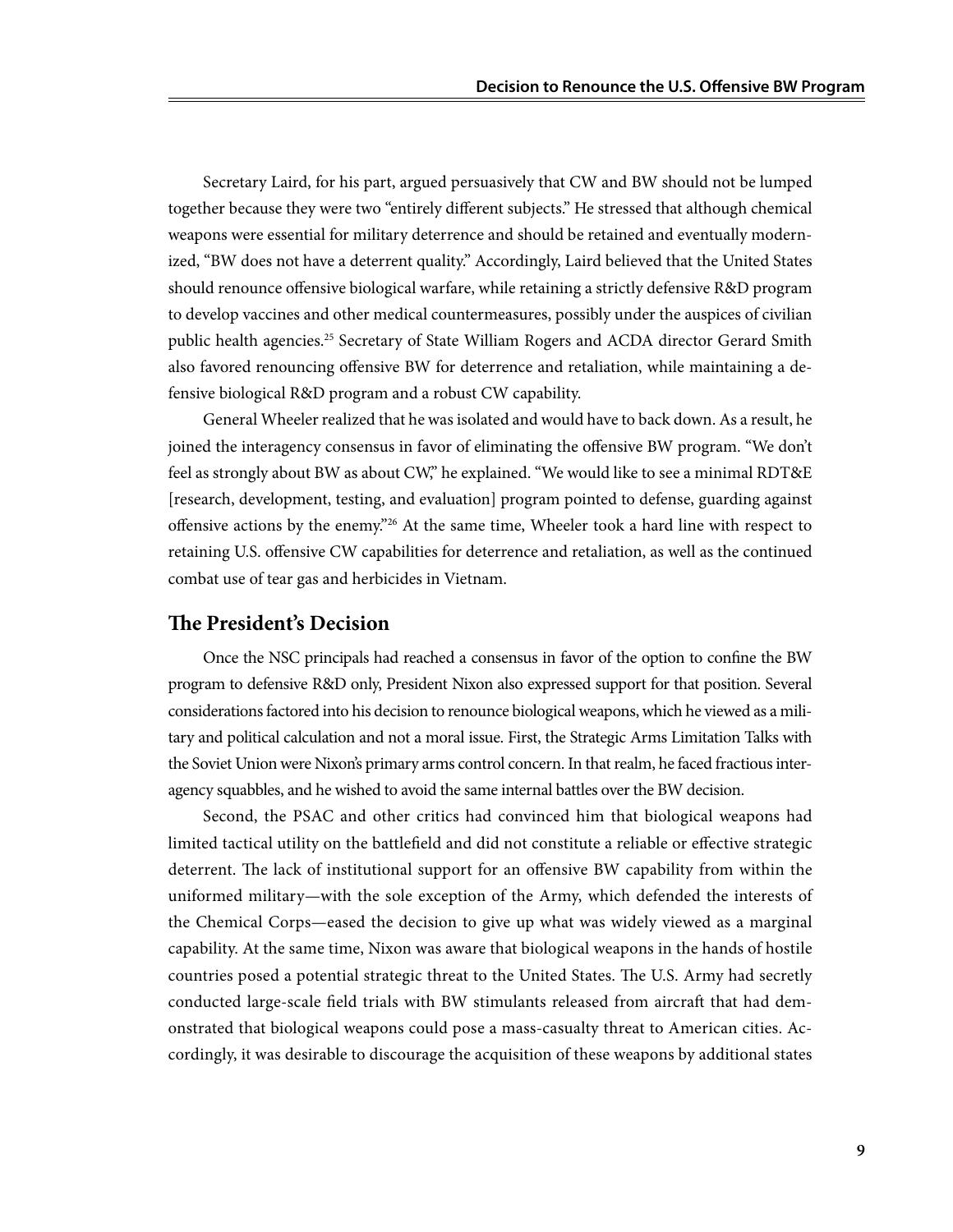Secretary Laird, for his part, argued persuasively that CW and BW should not be lumped together because they were two "entirely different subjects." He stressed that although chemical weapons were essential for military deterrence and should be retained and eventually modernized, "BW does not have a deterrent quality." Accordingly, Laird believed that the United States should renounce offensive biological warfare, while retaining a strictly defensive R&D program to develop vaccines and other medical countermeasures, possibly under the auspices of civilian public health agencies.25 Secretary of State William Rogers and ACDA director Gerard Smith also favored renouncing offensive BW for deterrence and retaliation, while maintaining a defensive biological R&D program and a robust CW capability.

General Wheeler realized that he was isolated and would have to back down. As a result, he joined the interagency consensus in favor of eliminating the offensive BW program. "We don't feel as strongly about BW as about CW," he explained. "We would like to see a minimal RDT&E [research, development, testing, and evaluation] program pointed to defense, guarding against offensive actions by the enemy."<sup>26</sup> At the same time, Wheeler took a hard line with respect to retaining U.S. offensive CW capabilities for deterrence and retaliation, as well as the continued combat use of tear gas and herbicides in Vietnam.

### **The President's Decision**

Once the NSC principals had reached a consensus in favor of the option to confine the BW program to defensive R&D only, President Nixon also expressed support for that position. Several considerations factored into his decision to renounce biological weapons, which he viewed as a military and political calculation and not a moral issue. First, the Strategic Arms Limitation Talks with the Soviet Union were Nixon's primary arms control concern. In that realm, he faced fractious interagency squabbles, and he wished to avoid the same internal battles over the BW decision.

Second, the PSAC and other critics had convinced him that biological weapons had limited tactical utility on the battlefield and did not constitute a reliable or effective strategic deterrent. The lack of institutional support for an offensive BW capability from within the uniformed military—with the sole exception of the Army, which defended the interests of the Chemical Corps—eased the decision to give up what was widely viewed as a marginal capability. At the same time, Nixon was aware that biological weapons in the hands of hostile countries posed a potential strategic threat to the United States. The U.S. Army had secretly conducted large-scale field trials with BW stimulants released from aircraft that had demonstrated that biological weapons could pose a mass-casualty threat to American cities. Accordingly, it was desirable to discourage the acquisition of these weapons by additional states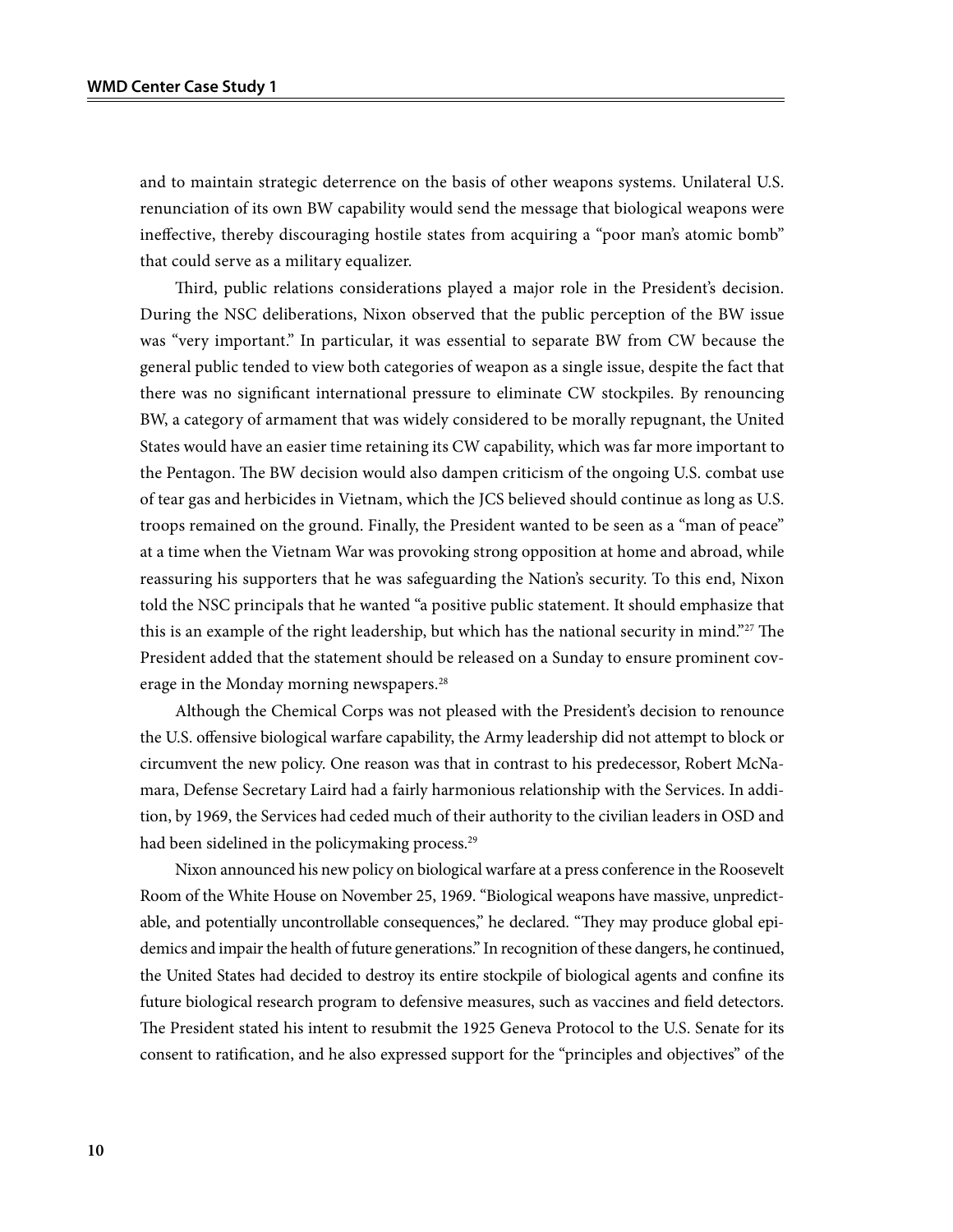and to maintain strategic deterrence on the basis of other weapons systems. Unilateral U.S. renunciation of its own BW capability would send the message that biological weapons were ineffective, thereby discouraging hostile states from acquiring a "poor man's atomic bomb" that could serve as a military equalizer.

Third, public relations considerations played a major role in the President's decision. During the NSC deliberations, Nixon observed that the public perception of the BW issue was "very important." In particular, it was essential to separate BW from CW because the general public tended to view both categories of weapon as a single issue, despite the fact that there was no significant international pressure to eliminate CW stockpiles. By renouncing BW, a category of armament that was widely considered to be morally repugnant, the United States would have an easier time retaining its CW capability, which was far more important to the Pentagon. The BW decision would also dampen criticism of the ongoing U.S. combat use of tear gas and herbicides in Vietnam, which the JCS believed should continue as long as U.S. troops remained on the ground. Finally, the President wanted to be seen as a "man of peace" at a time when the Vietnam War was provoking strong opposition at home and abroad, while reassuring his supporters that he was safeguarding the Nation's security. To this end, Nixon told the NSC principals that he wanted "a positive public statement. It should emphasize that this is an example of the right leadership, but which has the national security in mind."<sup>27</sup> The President added that the statement should be released on a Sunday to ensure prominent coverage in the Monday morning newspapers.<sup>28</sup>

Although the Chemical Corps was not pleased with the President's decision to renounce the U.S. offensive biological warfare capability, the Army leadership did not attempt to block or circumvent the new policy. One reason was that in contrast to his predecessor, Robert McNamara, Defense Secretary Laird had a fairly harmonious relationship with the Services. In addition, by 1969, the Services had ceded much of their authority to the civilian leaders in OSD and had been sidelined in the policymaking process.<sup>29</sup>

Nixon announced his new policy on biological warfare at a press conference in the Roosevelt Room of the White House on November 25, 1969. "Biological weapons have massive, unpredictable, and potentially uncontrollable consequences," he declared. "They may produce global epidemics and impair the health of future generations." In recognition of these dangers, he continued, the United States had decided to destroy its entire stockpile of biological agents and confine its future biological research program to defensive measures, such as vaccines and field detectors. The President stated his intent to resubmit the 1925 Geneva Protocol to the U.S. Senate for its consent to ratification, and he also expressed support for the "principles and objectives" of the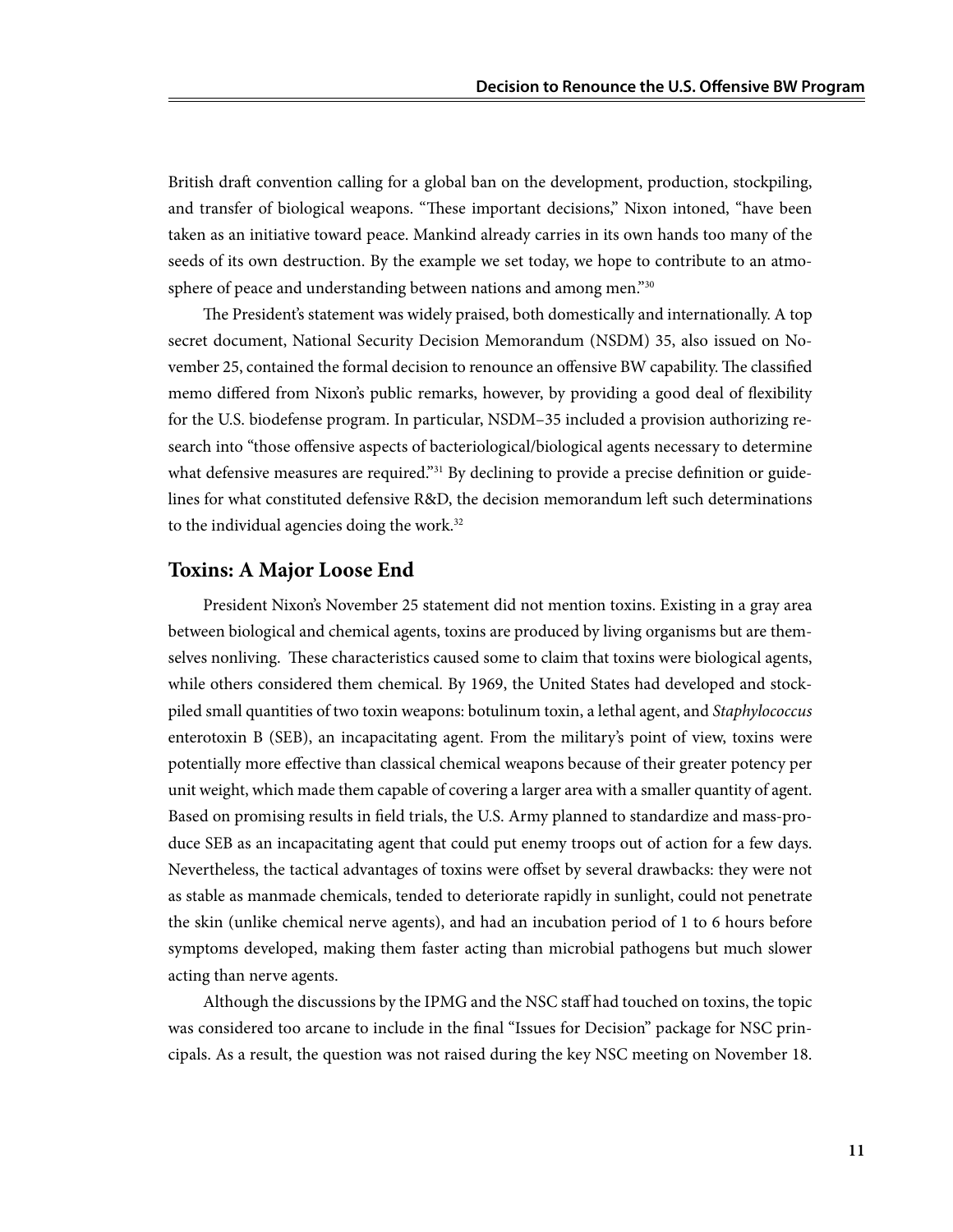British draft convention calling for a global ban on the development, production, stockpiling, and transfer of biological weapons. "These important decisions," Nixon intoned, "have been taken as an initiative toward peace. Mankind already carries in its own hands too many of the seeds of its own destruction. By the example we set today, we hope to contribute to an atmosphere of peace and understanding between nations and among men."<sup>30</sup>

The President's statement was widely praised, both domestically and internationally. A top secret document, National Security Decision Memorandum (NSDM) 35, also issued on November 25, contained the formal decision to renounce an offensive BW capability. The classified memo differed from Nixon's public remarks, however, by providing a good deal of flexibility for the U.S. biodefense program. In particular, NSDM–35 included a provision authorizing research into "those offensive aspects of bacteriological/biological agents necessary to determine what defensive measures are required."<sup>31</sup> By declining to provide a precise definition or guidelines for what constituted defensive R&D, the decision memorandum left such determinations to the individual agencies doing the work.<sup>32</sup>

### **Toxins: A Major Loose End**

President Nixon's November 25 statement did not mention toxins. Existing in a gray area between biological and chemical agents, toxins are produced by living organisms but are themselves nonliving. These characteristics caused some to claim that toxins were biological agents, while others considered them chemical. By 1969, the United States had developed and stockpiled small quantities of two toxin weapons: botulinum toxin, a lethal agent, and *Staphylococcus* enterotoxin B (SEB), an incapacitating agent. From the military's point of view, toxins were potentially more effective than classical chemical weapons because of their greater potency per unit weight, which made them capable of covering a larger area with a smaller quantity of agent. Based on promising results in field trials, the U.S. Army planned to standardize and mass-produce SEB as an incapacitating agent that could put enemy troops out of action for a few days. Nevertheless, the tactical advantages of toxins were offset by several drawbacks: they were not as stable as manmade chemicals, tended to deteriorate rapidly in sunlight, could not penetrate the skin (unlike chemical nerve agents), and had an incubation period of 1 to 6 hours before symptoms developed, making them faster acting than microbial pathogens but much slower acting than nerve agents.

Although the discussions by the IPMG and the NSC staff had touched on toxins, the topic was considered too arcane to include in the final "Issues for Decision" package for NSC principals. As a result, the question was not raised during the key NSC meeting on November 18.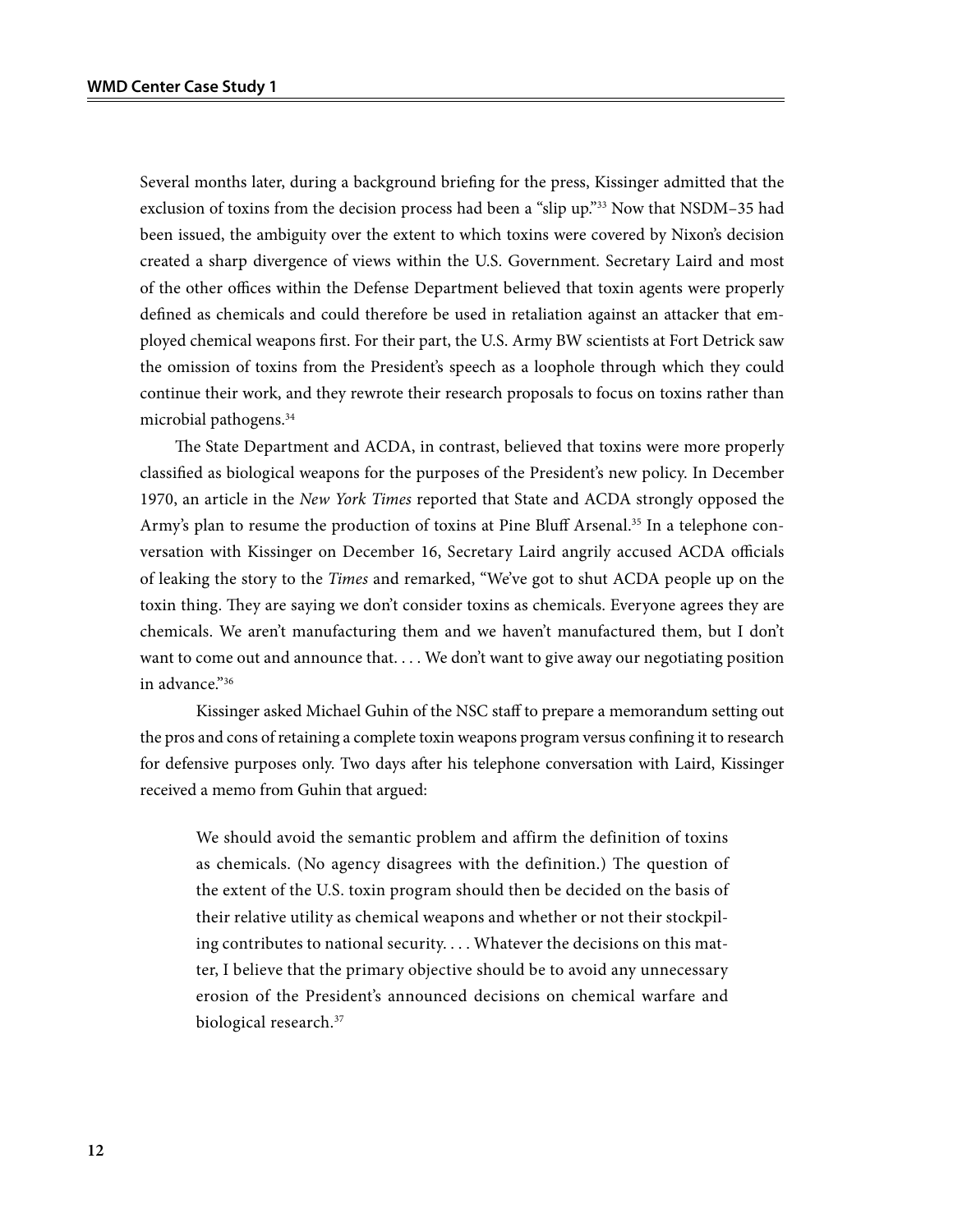Several months later, during a background briefing for the press, Kissinger admitted that the exclusion of toxins from the decision process had been a "slip up."33 Now that NSDM–35 had been issued, the ambiguity over the extent to which toxins were covered by Nixon's decision created a sharp divergence of views within the U.S. Government. Secretary Laird and most of the other offices within the Defense Department believed that toxin agents were properly defined as chemicals and could therefore be used in retaliation against an attacker that employed chemical weapons first. For their part, the U.S. Army BW scientists at Fort Detrick saw the omission of toxins from the President's speech as a loophole through which they could continue their work, and they rewrote their research proposals to focus on toxins rather than microbial pathogens.34

The State Department and ACDA, in contrast, believed that toxins were more properly classified as biological weapons for the purposes of the President's new policy. In December 1970, an article in the *New York Times* reported that State and ACDA strongly opposed the Army's plan to resume the production of toxins at Pine Bluff Arsenal.<sup>35</sup> In a telephone conversation with Kissinger on December 16, Secretary Laird angrily accused ACDA officials of leaking the story to the *Times* and remarked, "We've got to shut ACDA people up on the toxin thing. They are saying we don't consider toxins as chemicals. Everyone agrees they are chemicals. We aren't manufacturing them and we haven't manufactured them, but I don't want to come out and announce that. . . . We don't want to give away our negotiating position in advance."36

Kissinger asked Michael Guhin of the NSC staff to prepare a memorandum setting out the pros and cons of retaining a complete toxin weapons program versus confining it to research for defensive purposes only. Two days after his telephone conversation with Laird, Kissinger received a memo from Guhin that argued:

We should avoid the semantic problem and affirm the definition of toxins as chemicals. (No agency disagrees with the definition.) The question of the extent of the U.S. toxin program should then be decided on the basis of their relative utility as chemical weapons and whether or not their stockpiling contributes to national security. . . . Whatever the decisions on this matter, I believe that the primary objective should be to avoid any unnecessary erosion of the President's announced decisions on chemical warfare and biological research.<sup>37</sup>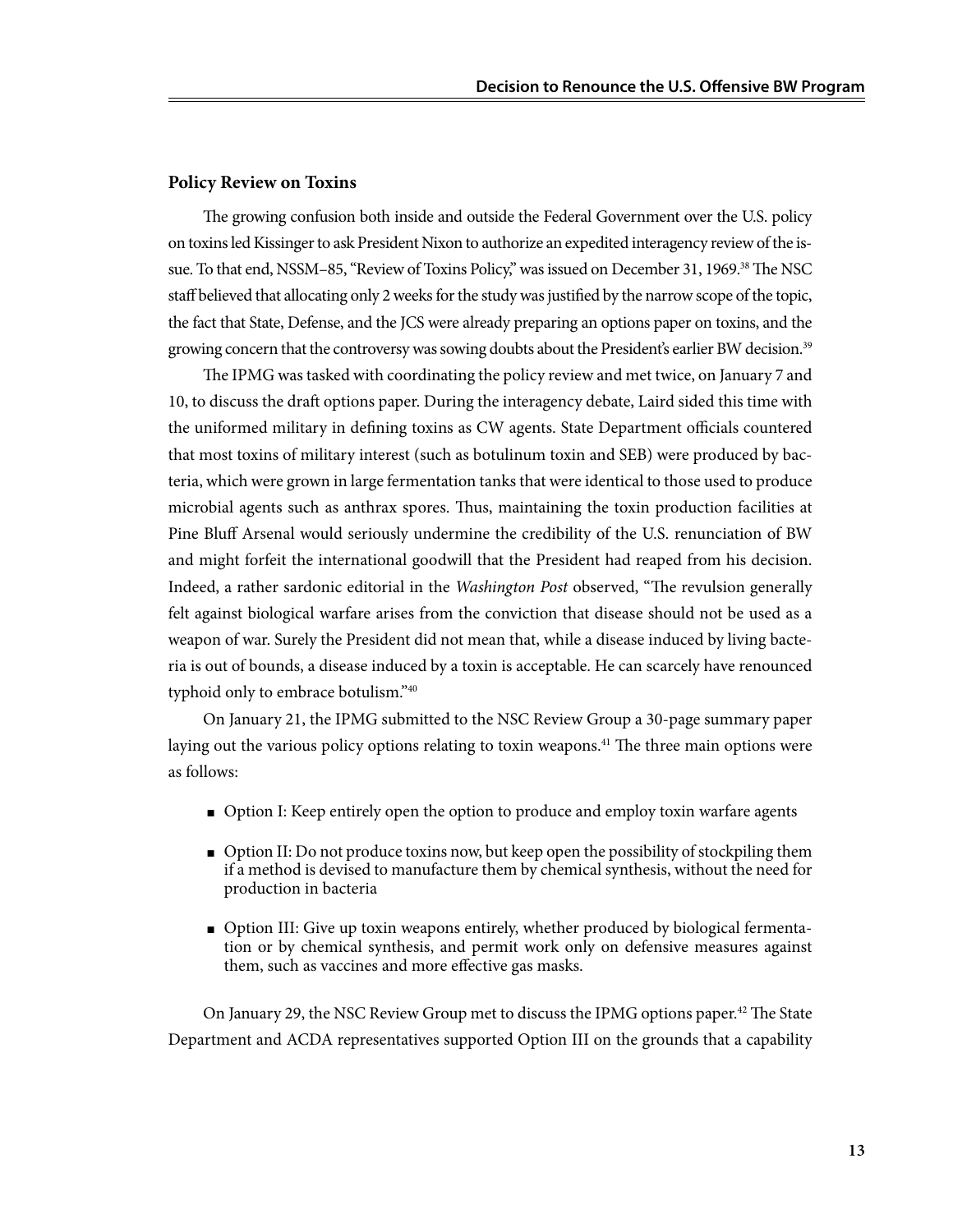#### **Policy Review on Toxins**

The growing confusion both inside and outside the Federal Government over the U.S. policy on toxins led Kissinger to ask President Nixon to authorize an expedited interagency review of the issue. To that end, NSSM-85, "Review of Toxins Policy," was issued on December 31, 1969.<sup>38</sup> The NSC staff believed that allocating only 2 weeks for the study was justified by the narrow scope of the topic, the fact that State, Defense, and the JCS were already preparing an options paper on toxins, and the growing concern that the controversy was sowing doubts about the President's earlier BW decision.<sup>39</sup>

The IPMG was tasked with coordinating the policy review and met twice, on January 7 and 10, to discuss the draft options paper. During the interagency debate, Laird sided this time with the uniformed military in defining toxins as CW agents. State Department officials countered that most toxins of military interest (such as botulinum toxin and SEB) were produced by bacteria, which were grown in large fermentation tanks that were identical to those used to produce microbial agents such as anthrax spores. Thus, maintaining the toxin production facilities at Pine Bluff Arsenal would seriously undermine the credibility of the U.S. renunciation of BW and might forfeit the international goodwill that the President had reaped from his decision. Indeed, a rather sardonic editorial in the *Washington Post* observed, "The revulsion generally felt against biological warfare arises from the conviction that disease should not be used as a weapon of war. Surely the President did not mean that, while a disease induced by living bacteria is out of bounds, a disease induced by a toxin is acceptable. He can scarcely have renounced typhoid only to embrace botulism."40

On January 21, the IPMG submitted to the NSC Review Group a 30-page summary paper laying out the various policy options relating to toxin weapons.<sup>41</sup> The three main options were as follows:

- Option I: Keep entirely open the option to produce and employ toxin warfare agents
- Option II: Do not produce toxins now, but keep open the possibility of stockpiling them if a method is devised to manufacture them by chemical synthesis, without the need for production in bacteria
- Option III: Give up toxin weapons entirely, whether produced by biological fermentation or by chemical synthesis, and permit work only on defensive measures against them, such as vaccines and more effective gas masks.

On January 29, the NSC Review Group met to discuss the IPMG options paper.<sup>42</sup> The State Department and ACDA representatives supported Option III on the grounds that a capability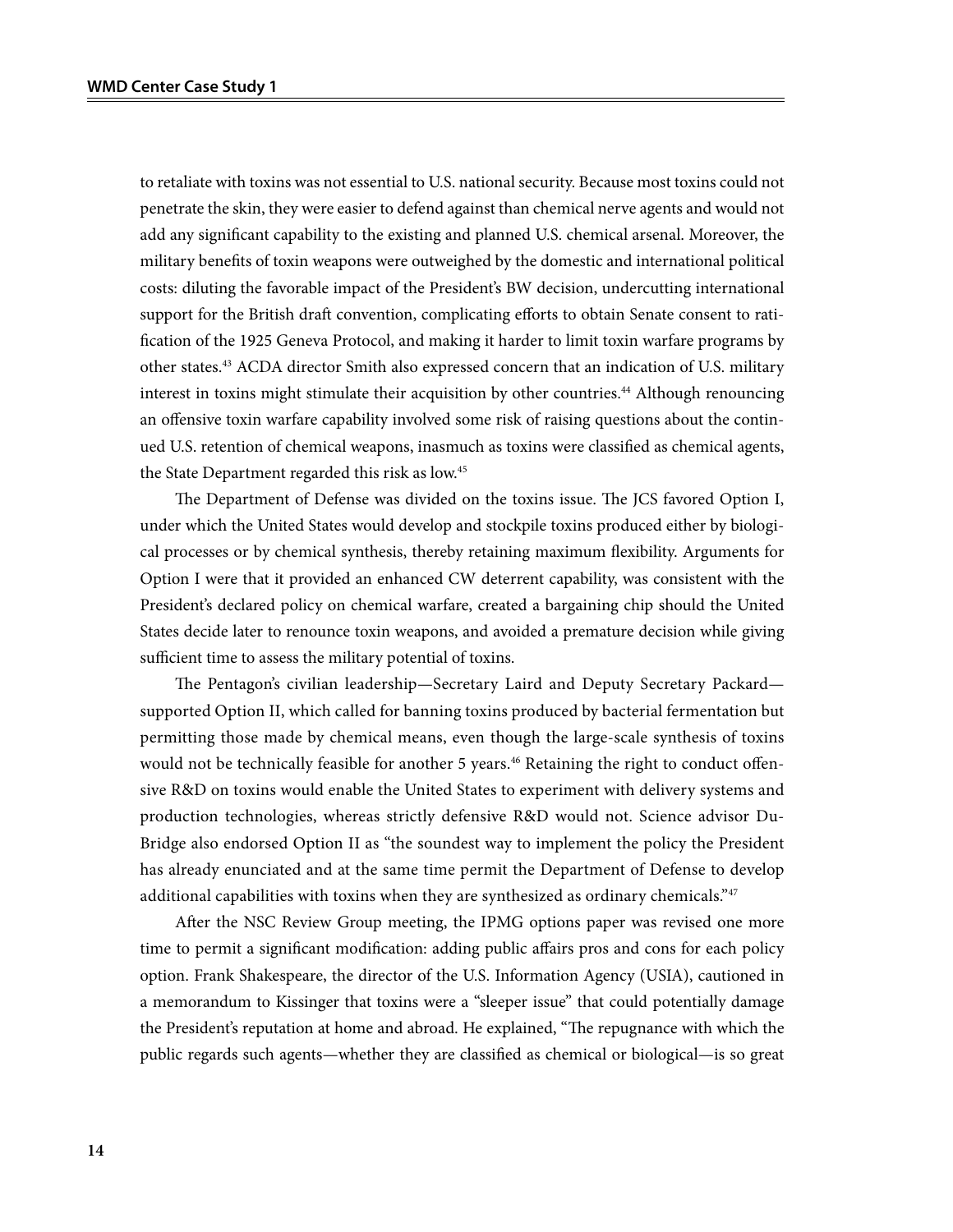to retaliate with toxins was not essential to U.S. national security. Because most toxins could not penetrate the skin, they were easier to defend against than chemical nerve agents and would not add any significant capability to the existing and planned U.S. chemical arsenal. Moreover, the military benefits of toxin weapons were outweighed by the domestic and international political costs: diluting the favorable impact of the President's BW decision, undercutting international support for the British draft convention, complicating efforts to obtain Senate consent to ratification of the 1925 Geneva Protocol, and making it harder to limit toxin warfare programs by other states.<sup>43</sup> ACDA director Smith also expressed concern that an indication of U.S. military interest in toxins might stimulate their acquisition by other countries.<sup>44</sup> Although renouncing an offensive toxin warfare capability involved some risk of raising questions about the continued U.S. retention of chemical weapons, inasmuch as toxins were classified as chemical agents, the State Department regarded this risk as low.45

The Department of Defense was divided on the toxins issue. The JCS favored Option I, under which the United States would develop and stockpile toxins produced either by biological processes or by chemical synthesis, thereby retaining maximum flexibility. Arguments for Option I were that it provided an enhanced CW deterrent capability, was consistent with the President's declared policy on chemical warfare, created a bargaining chip should the United States decide later to renounce toxin weapons, and avoided a premature decision while giving sufficient time to assess the military potential of toxins.

The Pentagon's civilian leadership—Secretary Laird and Deputy Secretary Packard supported Option II, which called for banning toxins produced by bacterial fermentation but permitting those made by chemical means, even though the large-scale synthesis of toxins would not be technically feasible for another 5 years.<sup>46</sup> Retaining the right to conduct offensive R&D on toxins would enable the United States to experiment with delivery systems and production technologies, whereas strictly defensive R&D would not. Science advisor Du-Bridge also endorsed Option II as "the soundest way to implement the policy the President has already enunciated and at the same time permit the Department of Defense to develop additional capabilities with toxins when they are synthesized as ordinary chemicals."47

After the NSC Review Group meeting, the IPMG options paper was revised one more time to permit a significant modification: adding public affairs pros and cons for each policy option. Frank Shakespeare, the director of the U.S. Information Agency (USIA), cautioned in a memorandum to Kissinger that toxins were a "sleeper issue" that could potentially damage the President's reputation at home and abroad. He explained, "The repugnance with which the public regards such agents—whether they are classified as chemical or biological—is so great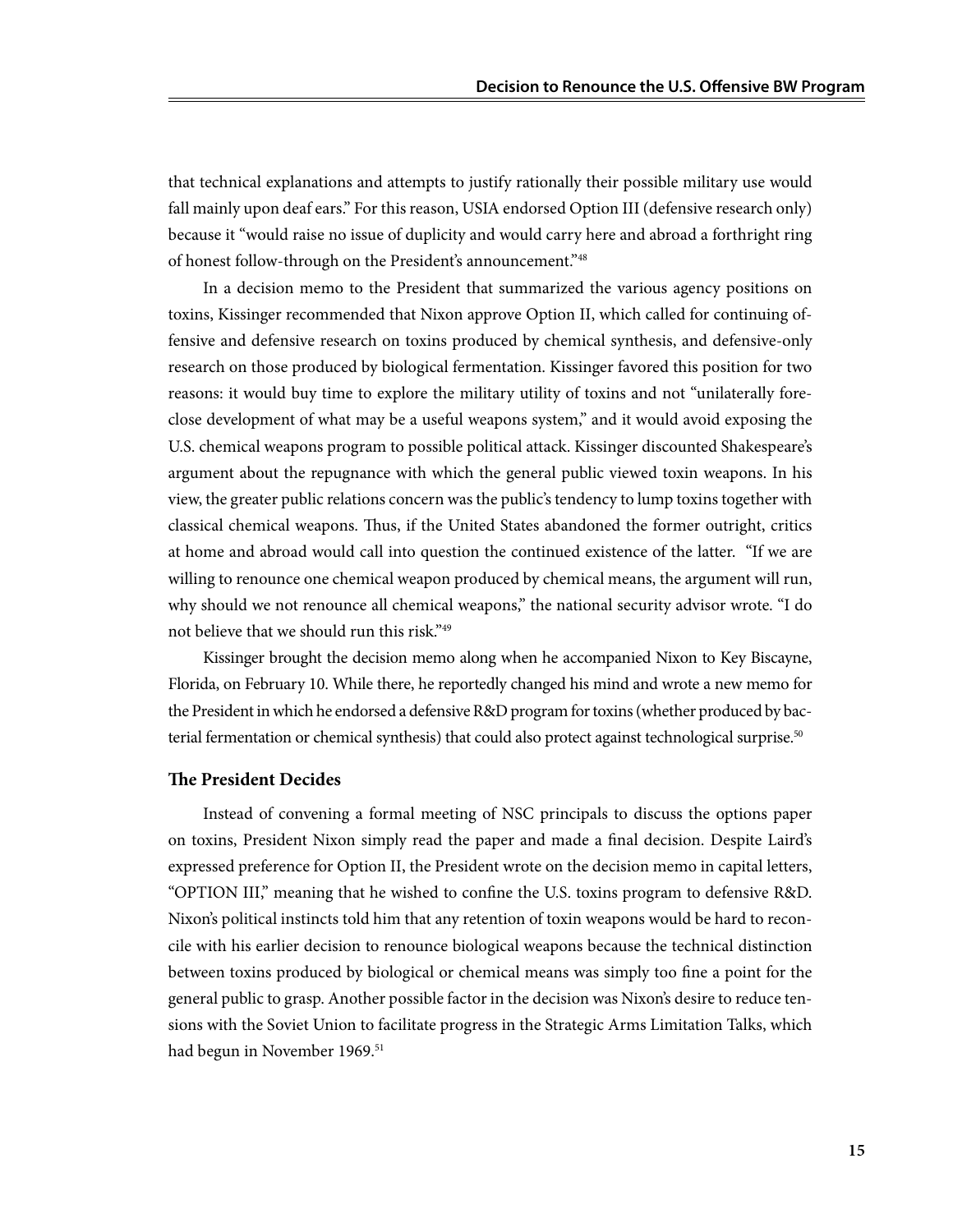that technical explanations and attempts to justify rationally their possible military use would fall mainly upon deaf ears." For this reason, USIA endorsed Option III (defensive research only) because it "would raise no issue of duplicity and would carry here and abroad a forthright ring of honest follow-through on the President's announcement."48

In a decision memo to the President that summarized the various agency positions on toxins, Kissinger recommended that Nixon approve Option II, which called for continuing offensive and defensive research on toxins produced by chemical synthesis, and defensive-only research on those produced by biological fermentation. Kissinger favored this position for two reasons: it would buy time to explore the military utility of toxins and not "unilaterally foreclose development of what may be a useful weapons system," and it would avoid exposing the U.S. chemical weapons program to possible political attack. Kissinger discounted Shakespeare's argument about the repugnance with which the general public viewed toxin weapons. In his view, the greater public relations concern was the public's tendency to lump toxins together with classical chemical weapons. Thus, if the United States abandoned the former outright, critics at home and abroad would call into question the continued existence of the latter. "If we are willing to renounce one chemical weapon produced by chemical means, the argument will run, why should we not renounce all chemical weapons," the national security advisor wrote. "I do not believe that we should run this risk."49

Kissinger brought the decision memo along when he accompanied Nixon to Key Biscayne, Florida, on February 10. While there, he reportedly changed his mind and wrote a new memo for the President in which he endorsed a defensive R&D program for toxins (whether produced by bacterial fermentation or chemical synthesis) that could also protect against technological surprise.<sup>50</sup>

#### **The President Decides**

Instead of convening a formal meeting of NSC principals to discuss the options paper on toxins, President Nixon simply read the paper and made a final decision. Despite Laird's expressed preference for Option II, the President wrote on the decision memo in capital letters, "OPTION III," meaning that he wished to confine the U.S. toxins program to defensive R&D. Nixon's political instincts told him that any retention of toxin weapons would be hard to reconcile with his earlier decision to renounce biological weapons because the technical distinction between toxins produced by biological or chemical means was simply too fine a point for the general public to grasp. Another possible factor in the decision was Nixon's desire to reduce tensions with the Soviet Union to facilitate progress in the Strategic Arms Limitation Talks, which had begun in November 1969.<sup>51</sup>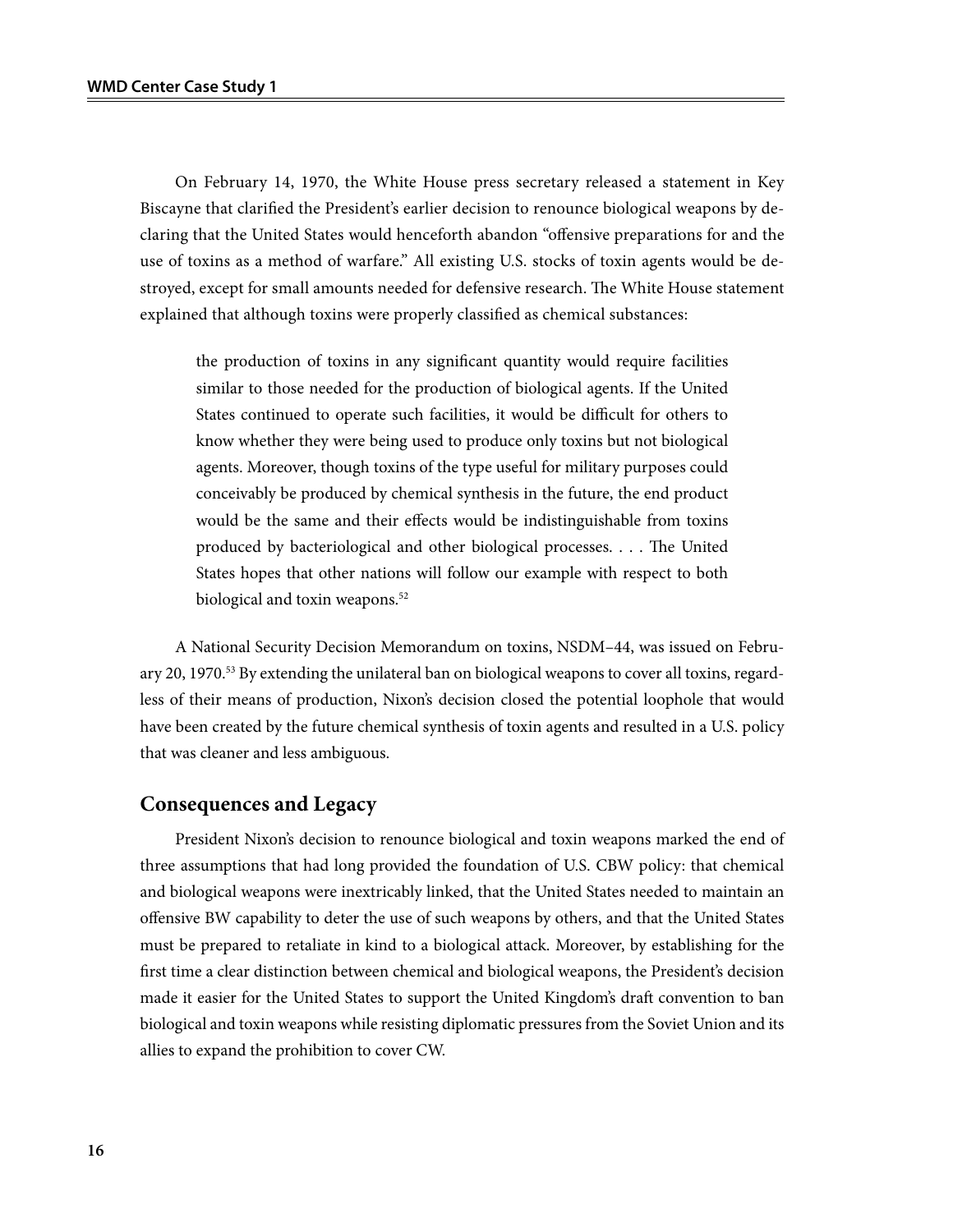On February 14, 1970, the White House press secretary released a statement in Key Biscayne that clarified the President's earlier decision to renounce biological weapons by declaring that the United States would henceforth abandon "offensive preparations for and the use of toxins as a method of warfare." All existing U.S. stocks of toxin agents would be destroyed, except for small amounts needed for defensive research. The White House statement explained that although toxins were properly classified as chemical substances:

the production of toxins in any significant quantity would require facilities similar to those needed for the production of biological agents. If the United States continued to operate such facilities, it would be difficult for others to know whether they were being used to produce only toxins but not biological agents. Moreover, though toxins of the type useful for military purposes could conceivably be produced by chemical synthesis in the future, the end product would be the same and their effects would be indistinguishable from toxins produced by bacteriological and other biological processes. . . . The United States hopes that other nations will follow our example with respect to both biological and toxin weapons.<sup>52</sup>

A National Security Decision Memorandum on toxins, NSDM–44, was issued on February 20, 1970.<sup>53</sup> By extending the unilateral ban on biological weapons to cover all toxins, regardless of their means of production, Nixon's decision closed the potential loophole that would have been created by the future chemical synthesis of toxin agents and resulted in a U.S. policy that was cleaner and less ambiguous.

### **Consequences and Legacy**

President Nixon's decision to renounce biological and toxin weapons marked the end of three assumptions that had long provided the foundation of U.S. CBW policy: that chemical and biological weapons were inextricably linked, that the United States needed to maintain an offensive BW capability to deter the use of such weapons by others, and that the United States must be prepared to retaliate in kind to a biological attack. Moreover, by establishing for the first time a clear distinction between chemical and biological weapons, the President's decision made it easier for the United States to support the United Kingdom's draft convention to ban biological and toxin weapons while resisting diplomatic pressures from the Soviet Union and its allies to expand the prohibition to cover CW.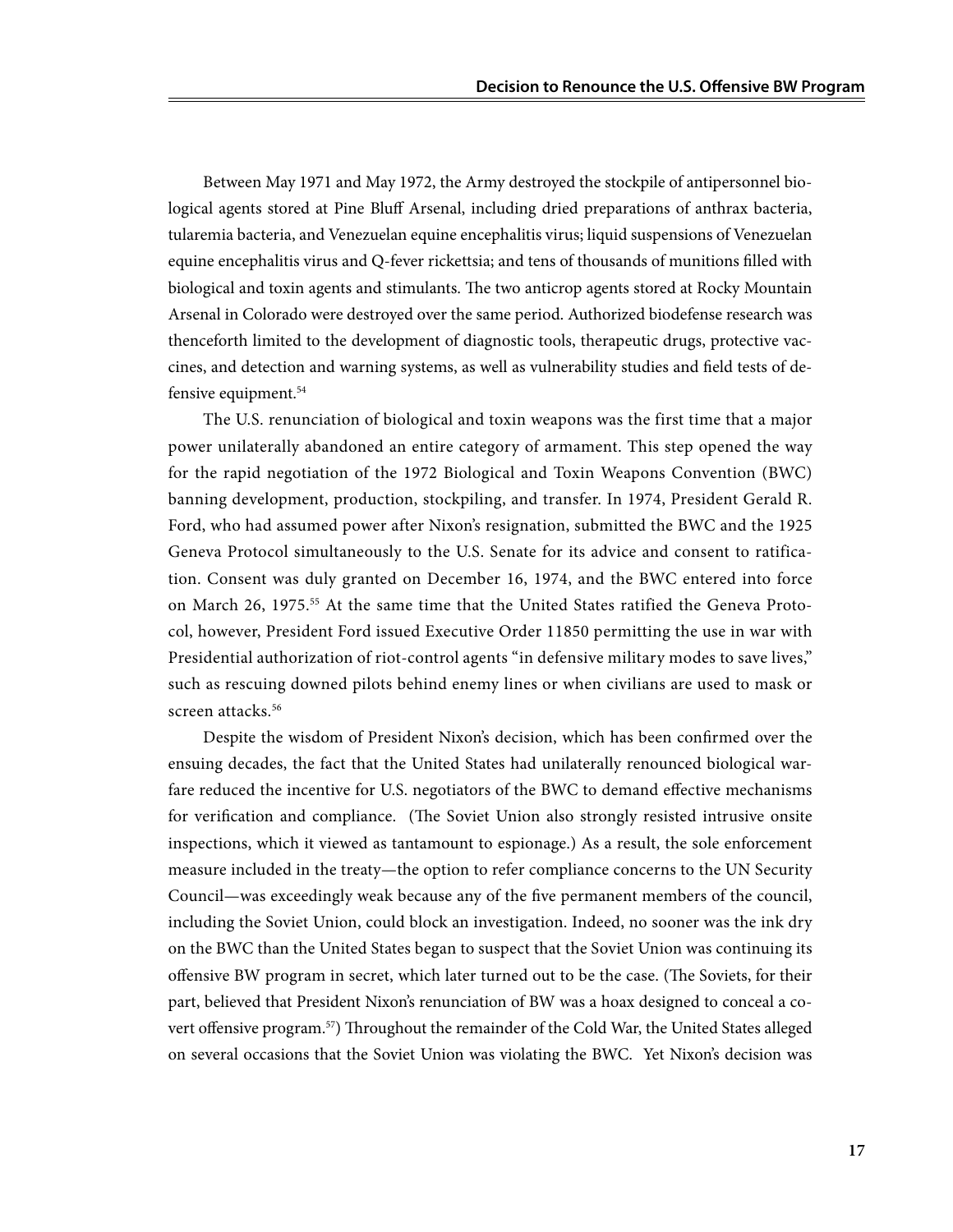Between May 1971 and May 1972, the Army destroyed the stockpile of antipersonnel biological agents stored at Pine Bluff Arsenal, including dried preparations of anthrax bacteria, tularemia bacteria, and Venezuelan equine encephalitis virus; liquid suspensions of Venezuelan equine encephalitis virus and Q-fever rickettsia; and tens of thousands of munitions filled with biological and toxin agents and stimulants. The two anticrop agents stored at Rocky Mountain Arsenal in Colorado were destroyed over the same period. Authorized biodefense research was thenceforth limited to the development of diagnostic tools, therapeutic drugs, protective vaccines, and detection and warning systems, as well as vulnerability studies and field tests of defensive equipment.<sup>54</sup>

The U.S. renunciation of biological and toxin weapons was the first time that a major power unilaterally abandoned an entire category of armament. This step opened the way for the rapid negotiation of the 1972 Biological and Toxin Weapons Convention (BWC) banning development, production, stockpiling, and transfer. In 1974, President Gerald R. Ford, who had assumed power after Nixon's resignation, submitted the BWC and the 1925 Geneva Protocol simultaneously to the U.S. Senate for its advice and consent to ratification. Consent was duly granted on December 16, 1974, and the BWC entered into force on March 26, 1975.<sup>55</sup> At the same time that the United States ratified the Geneva Protocol, however, President Ford issued Executive Order 11850 permitting the use in war with Presidential authorization of riot-control agents "in defensive military modes to save lives," such as rescuing downed pilots behind enemy lines or when civilians are used to mask or screen attacks.<sup>56</sup>

Despite the wisdom of President Nixon's decision, which has been confirmed over the ensuing decades, the fact that the United States had unilaterally renounced biological warfare reduced the incentive for U.S. negotiators of the BWC to demand effective mechanisms for verification and compliance. (The Soviet Union also strongly resisted intrusive onsite inspections, which it viewed as tantamount to espionage.) As a result, the sole enforcement measure included in the treaty—the option to refer compliance concerns to the UN Security Council—was exceedingly weak because any of the five permanent members of the council, including the Soviet Union, could block an investigation. Indeed, no sooner was the ink dry on the BWC than the United States began to suspect that the Soviet Union was continuing its offensive BW program in secret, which later turned out to be the case. (The Soviets, for their part, believed that President Nixon's renunciation of BW was a hoax designed to conceal a covert offensive program.57) Throughout the remainder of the Cold War, the United States alleged on several occasions that the Soviet Union was violating the BWC. Yet Nixon's decision was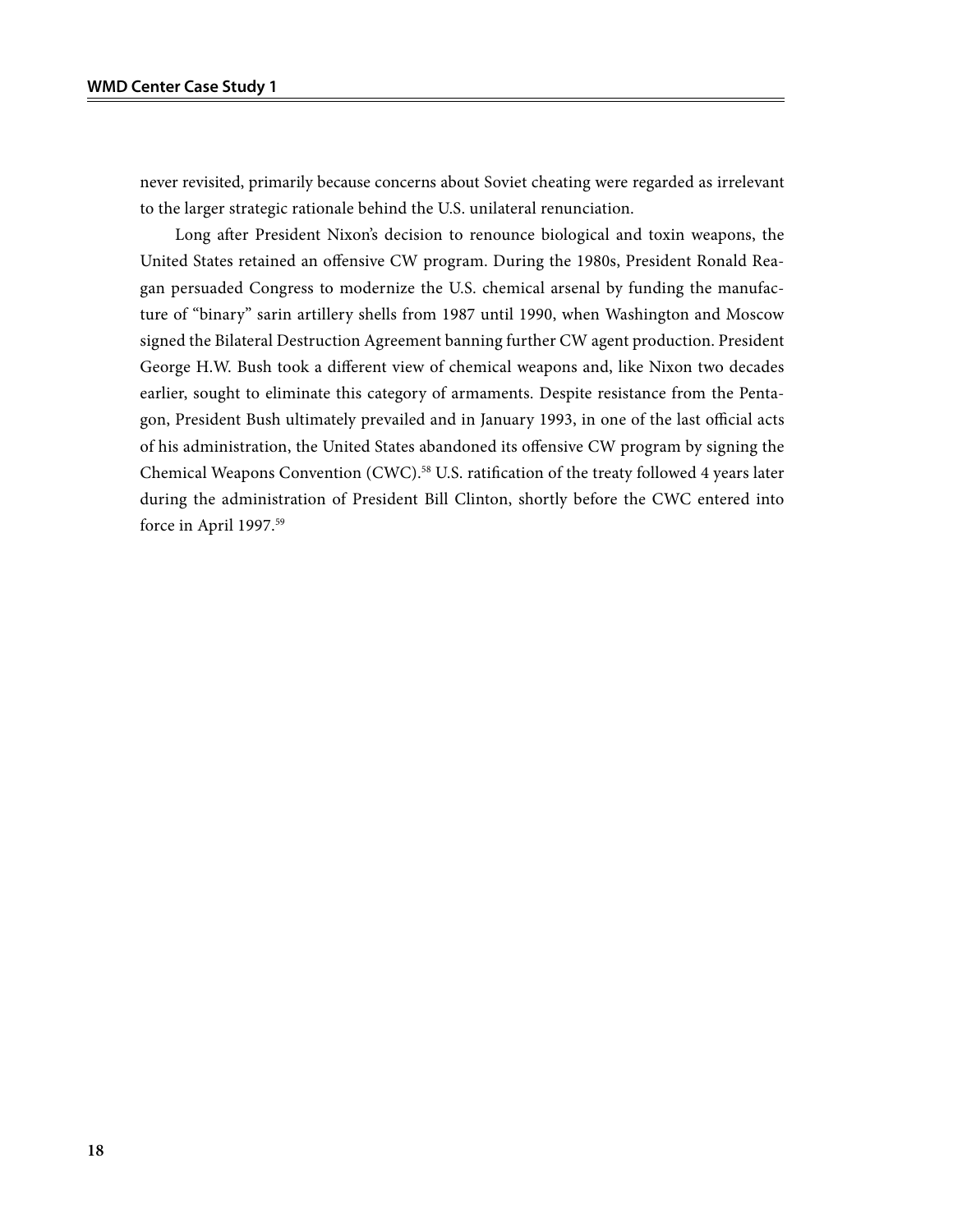never revisited, primarily because concerns about Soviet cheating were regarded as irrelevant to the larger strategic rationale behind the U.S. unilateral renunciation.

Long after President Nixon's decision to renounce biological and toxin weapons, the United States retained an offensive CW program. During the 1980s, President Ronald Reagan persuaded Congress to modernize the U.S. chemical arsenal by funding the manufacture of "binary" sarin artillery shells from 1987 until 1990, when Washington and Moscow signed the Bilateral Destruction Agreement banning further CW agent production. President George H.W. Bush took a different view of chemical weapons and, like Nixon two decades earlier, sought to eliminate this category of armaments. Despite resistance from the Pentagon, President Bush ultimately prevailed and in January 1993, in one of the last official acts of his administration, the United States abandoned its offensive CW program by signing the Chemical Weapons Convention (CWC).<sup>58</sup> U.S. ratification of the treaty followed 4 years later during the administration of President Bill Clinton, shortly before the CWC entered into force in April 1997.<sup>59</sup>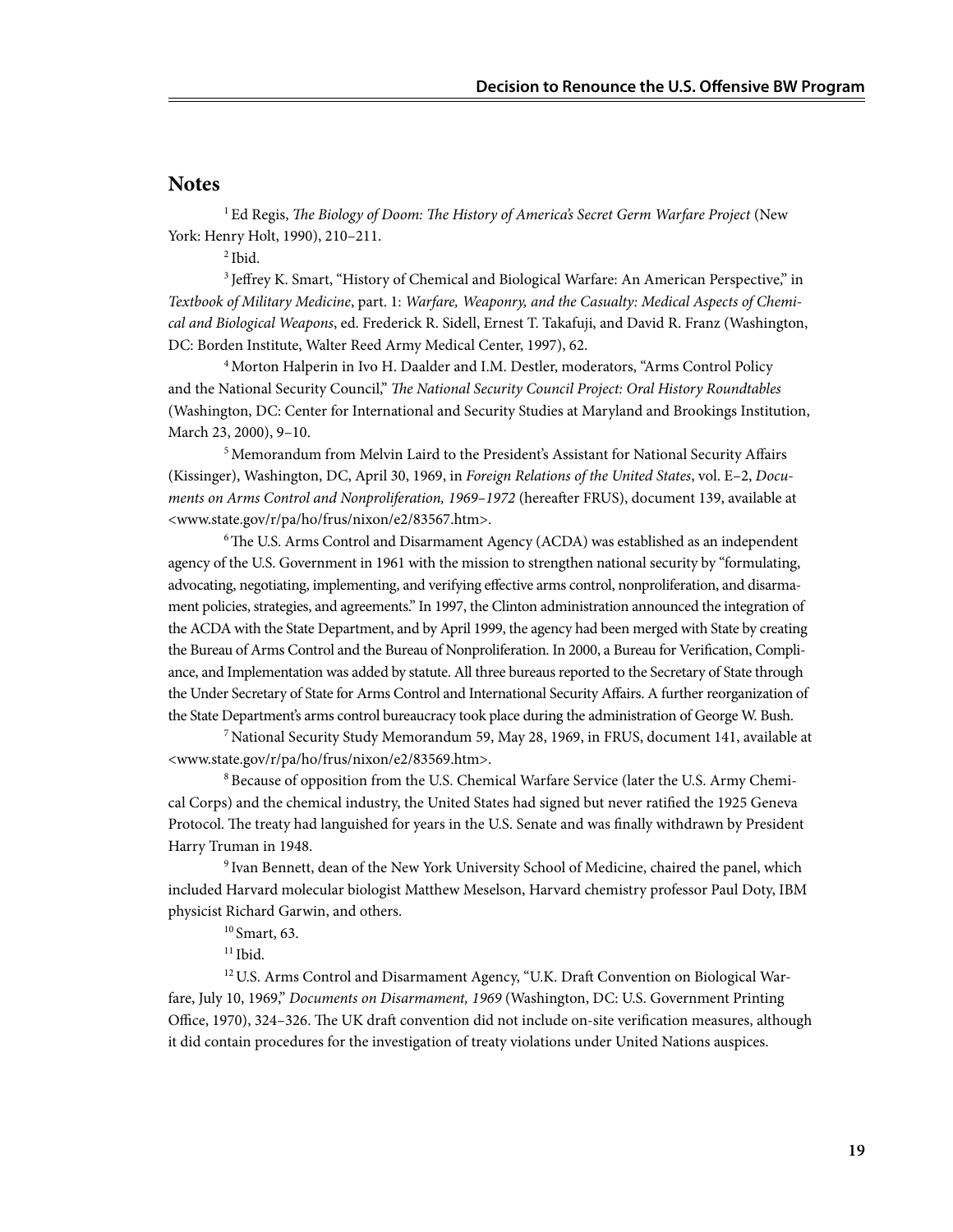#### **Notes**

1 Ed Regis, *The Biology of Doom: The History of America's Secret Germ Warfare Project* (New York: Henry Holt, 1990), 210–211.

2 Ibid.

3 Jeffrey K. Smart, "History of Chemical and Biological Warfare: An American Perspective," in *Textbook of Military Medicine*, part. 1: *Warfare, Weaponry, and the Casualty: Medical Aspects of Chemical and Biological Weapons*, ed. Frederick R. Sidell, Ernest T. Takafuji, and David R. Franz (Washington, DC: Borden Institute, Walter Reed Army Medical Center, 1997), 62.

4 Morton Halperin in Ivo H. Daalder and I.M. Destler, moderators, "Arms Control Policy and the National Security Council," *The National Security Council Project: Oral History Roundtables*  (Washington, DC: Center for International and Security Studies at Maryland and Brookings Institution, March 23, 2000), 9–10.

5 Memorandum from Melvin Laird to the President's Assistant for National Security Affairs (Kissinger), Washington, DC, April 30, 1969, in *Foreign Relations of the United States*, vol. E–2, *Documents on Arms Control and Nonproliferation, 1969–1972* (hereafter FRUS), document 139, available at <www.state.gov/r/pa/ho/frus/nixon/e2/83567.htm>.

<sup>6</sup>The U.S. Arms Control and Disarmament Agency (ACDA) was established as an independent agency of the U.S. Government in 1961 with the mission to strengthen national security by "formulating, advocating, negotiating, implementing, and verifying effective arms control, nonproliferation, and disarmament policies, strategies, and agreements." In 1997, the Clinton administration announced the integration of the ACDA with the State Department, and by April 1999, the agency had been merged with State by creating the Bureau of Arms Control and the Bureau of Nonproliferation. In 2000, a Bureau for Verification, Compliance, and Implementation was added by statute. All three bureaus reported to the Secretary of State through the Under Secretary of State for Arms Control and International Security Affairs. A further reorganization of the State Department's arms control bureaucracy took place during the administration of George W. Bush.

7 National Security Study Memorandum 59, May 28, 1969, in FRUS, document 141, available at <www.state.gov/r/pa/ho/frus/nixon/e2/83569.htm>.

8 Because of opposition from the U.S. Chemical Warfare Service (later the U.S. Army Chemical Corps) and the chemical industry, the United States had signed but never ratified the 1925 Geneva Protocol. The treaty had languished for years in the U.S. Senate and was finally withdrawn by President Harry Truman in 1948.

9 Ivan Bennett, dean of the New York University School of Medicine, chaired the panel, which included Harvard molecular biologist Matthew Meselson, Harvard chemistry professor Paul Doty, IBM physicist Richard Garwin, and others.

10 Smart, 63.

 $11$  Ibid.

<sup>12</sup> U.S. Arms Control and Disarmament Agency, "U.K. Draft Convention on Biological Warfare, July 10, 1969," *Documents on Disarmament, 1969* (Washington, DC: U.S. Government Printing Office, 1970), 324–326. The UK draft convention did not include on-site verification measures, although it did contain procedures for the investigation of treaty violations under United Nations auspices.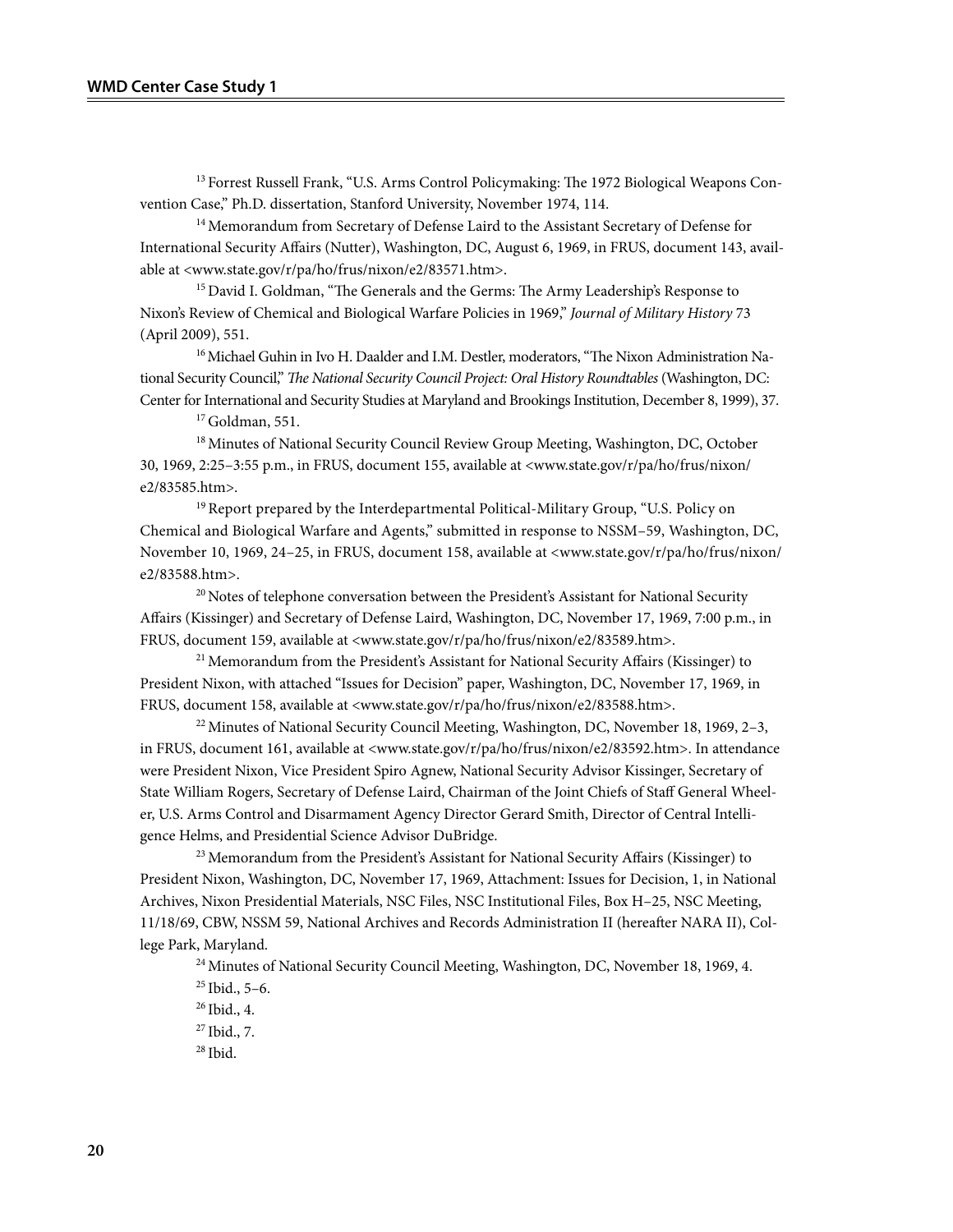<sup>13</sup> Forrest Russell Frank, "U.S. Arms Control Policymaking: The 1972 Biological Weapons Convention Case," Ph.D. dissertation, Stanford University, November 1974, 114.

<sup>14</sup> Memorandum from Secretary of Defense Laird to the Assistant Secretary of Defense for International Security Affairs (Nutter), Washington, DC, August 6, 1969, in FRUS, document 143, available at <www.state.gov/r/pa/ho/frus/nixon/e2/83571.htm>.

<sup>15</sup> David I. Goldman, "The Generals and the Germs: The Army Leadership's Response to Nixon's Review of Chemical and Biological Warfare Policies in 1969," *Journal of Military History* 73 (April 2009), 551.

<sup>16</sup> Michael Guhin in Ivo H. Daalder and I.M. Destler, moderators, "The Nixon Administration National Security Council," *The National Security Council Project: Oral History Roundtables* (Washington, DC: Center for International and Security Studies at Maryland and Brookings Institution, December 8, 1999), 37.

 $17$  Goldman, 551.

<sup>18</sup> Minutes of National Security Council Review Group Meeting, Washington, DC, October 30, 1969, 2:25–3:55 p.m., in FRUS, document 155, available at <www.state.gov/r/pa/ho/frus/nixon/ e2/83585.htm>.

<sup>19</sup> Report prepared by the Interdepartmental Political-Military Group, "U.S. Policy on Chemical and Biological Warfare and Agents," submitted in response to NSSM–59, Washington, DC, November 10, 1969, 24-25, in FRUS, document 158, available at <www.state.gov/r/pa/ho/frus/nixon/ e2/83588.htm>.

 $20$  Notes of telephone conversation between the President's Assistant for National Security Affairs (Kissinger) and Secretary of Defense Laird, Washington, DC, November 17, 1969, 7:00 p.m., in FRUS, document 159, available at <www.state.gov/r/pa/ho/frus/nixon/e2/83589.htm>.

 $21$  Memorandum from the President's Assistant for National Security Affairs (Kissinger) to President Nixon, with attached "Issues for Decision" paper, Washington, DC, November 17, 1969, in FRUS, document 158, available at <www.state.gov/r/pa/ho/frus/nixon/e2/83588.htm>.

 $22$  Minutes of National Security Council Meeting, Washington, DC, November 18, 1969, 2–3, in FRUS, document 161, available at <www.state.gov/r/pa/ho/frus/nixon/e2/83592.htm>. In attendance were President Nixon, Vice President Spiro Agnew, National Security Advisor Kissinger, Secretary of State William Rogers, Secretary of Defense Laird, Chairman of the Joint Chiefs of Staff General Wheeler, U.S. Arms Control and Disarmament Agency Director Gerard Smith, Director of Central Intelligence Helms, and Presidential Science Advisor DuBridge.

 $^{23}$  Memorandum from the President's Assistant for National Security Affairs (Kissinger) to President Nixon, Washington, DC, November 17, 1969, Attachment: Issues for Decision, 1, in National Archives, Nixon Presidential Materials, NSC Files, NSC Institutional Files, Box H–25, NSC Meeting, 11/18/69, CBW, NSSM 59, National Archives and Records Administration II (hereafter NARA II), College Park, Maryland.

<sup>24</sup> Minutes of National Security Council Meeting, Washington, DC, November 18, 1969, 4.

 $25$  Ibid.,  $5-6$ .

 $26$  Ibid., 4.

27 Ibid., 7.  $28$  Ibid.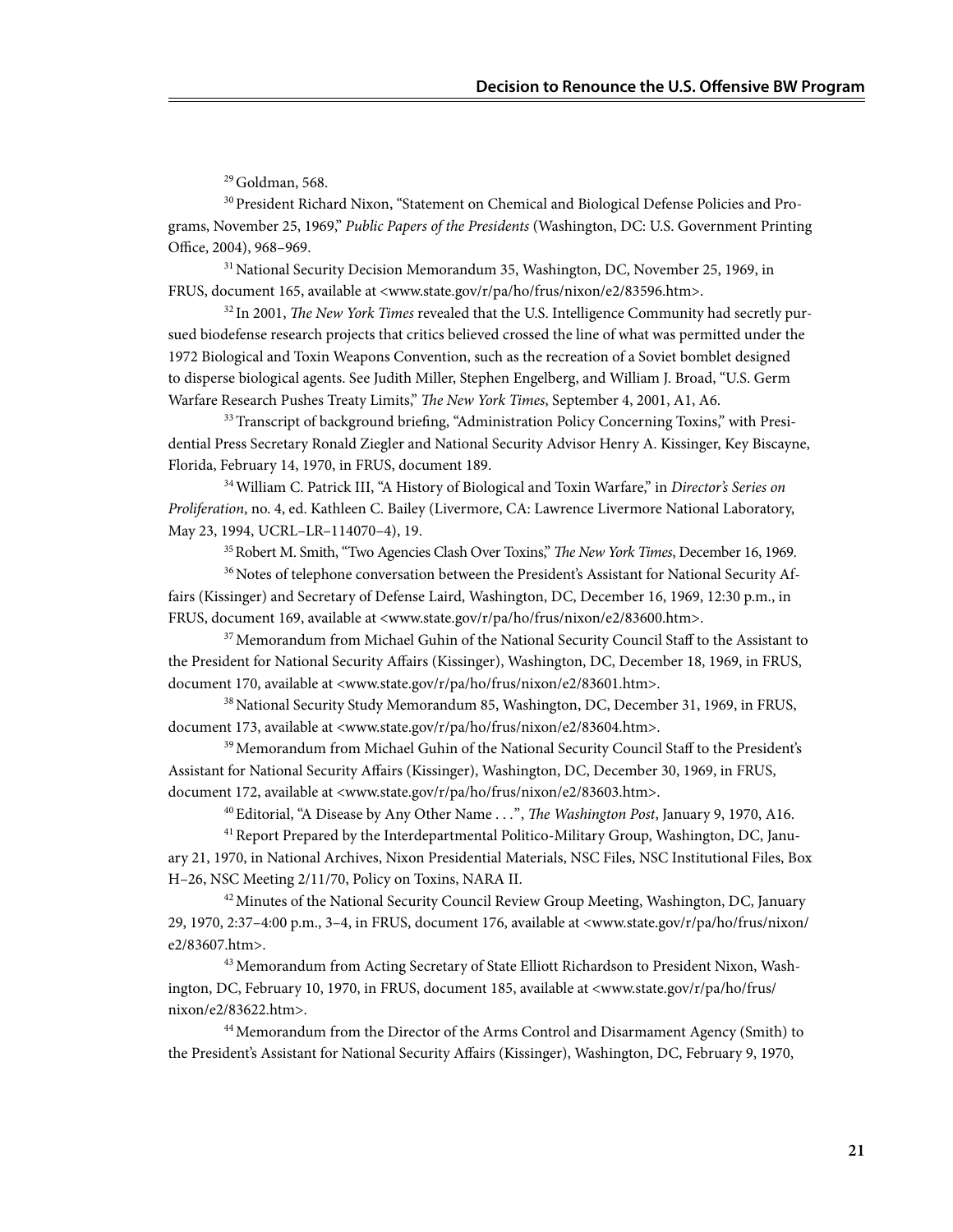29 Goldman, 568.

30 President Richard Nixon, "Statement on Chemical and Biological Defense Policies and Programs, November 25, 1969," *Public Papers of the Presidents* (Washington, DC: U.S. Government Printing Office, 2004), 968–969.

<sup>31</sup> National Security Decision Memorandum 35, Washington, DC, November 25, 1969, in FRUS, document 165, available at <www.state.gov/r/pa/ho/frus/nixon/e2/83596.htm>.

32 In 2001, *The New York Times* revealed that the U.S. Intelligence Community had secretly pursued biodefense research projects that critics believed crossed the line of what was permitted under the 1972 Biological and Toxin Weapons Convention, such as the recreation of a Soviet bomblet designed to disperse biological agents. See Judith Miller, Stephen Engelberg, and William J. Broad, "U.S. Germ Warfare Research Pushes Treaty Limits," *The New York Times*, September 4, 2001, A1, A6.

<sup>33</sup> Transcript of background briefing, "Administration Policy Concerning Toxins," with Presidential Press Secretary Ronald Ziegler and National Security Advisor Henry A. Kissinger, Key Biscayne, Florida, February 14, 1970, in FRUS, document 189.

34 William C. Patrick III, "A History of Biological and Toxin Warfare," in *Director's Series on Proliferation*, no. 4, ed. Kathleen C. Bailey (Livermore, CA: Lawrence Livermore National Laboratory, May 23, 1994, UCRL–LR–114070–4), 19.

35 Robert M. Smith, "Two Agencies Clash Over Toxins," *The New York Times*, December 16, 1969.

<sup>36</sup> Notes of telephone conversation between the President's Assistant for National Security Affairs (Kissinger) and Secretary of Defense Laird, Washington, DC, December 16, 1969, 12:30 p.m., in FRUS, document 169, available at <www.state.gov/r/pa/ho/frus/nixon/e2/83600.htm>.

<sup>37</sup> Memorandum from Michael Guhin of the National Security Council Staff to the Assistant to the President for National Security Affairs (Kissinger), Washington, DC, December 18, 1969, in FRUS, document 170, available at <www.state.gov/r/pa/ho/frus/nixon/e2/83601.htm>.

38 National Security Study Memorandum 85, Washington, DC, December 31, 1969, in FRUS, document 173, available at <www.state.gov/r/pa/ho/frus/nixon/e2/83604.htm>.

<sup>39</sup> Memorandum from Michael Guhin of the National Security Council Staff to the President's Assistant for National Security Affairs (Kissinger), Washington, DC, December 30, 1969, in FRUS, document 172, available at <www.state.gov/r/pa/ho/frus/nixon/e2/83603.htm>.

40 Editorial, "A Disease by Any Other Name . . .", *The Washington Post*, January 9, 1970, A16.

<sup>41</sup> Report Prepared by the Interdepartmental Politico-Military Group, Washington, DC, January 21, 1970, in National Archives, Nixon Presidential Materials, NSC Files, NSC Institutional Files, Box H–26, NSC Meeting 2/11/70, Policy on Toxins, NARA II.

<sup>42</sup> Minutes of the National Security Council Review Group Meeting, Washington, DC, January 29, 1970, 2:37–4:00 p.m., 3–4, in FRUS, document 176, available at <www.state.gov/r/pa/ho/frus/nixon/ e2/83607.htm>.

43 Memorandum from Acting Secretary of State Elliott Richardson to President Nixon, Washington, DC, February 10, 1970, in FRUS, document 185, available at <www.state.gov/r/pa/ho/frus/ nixon/e2/83622.htm>.

44 Memorandum from the Director of the Arms Control and Disarmament Agency (Smith) to the President's Assistant for National Security Affairs (Kissinger), Washington, DC, February 9, 1970,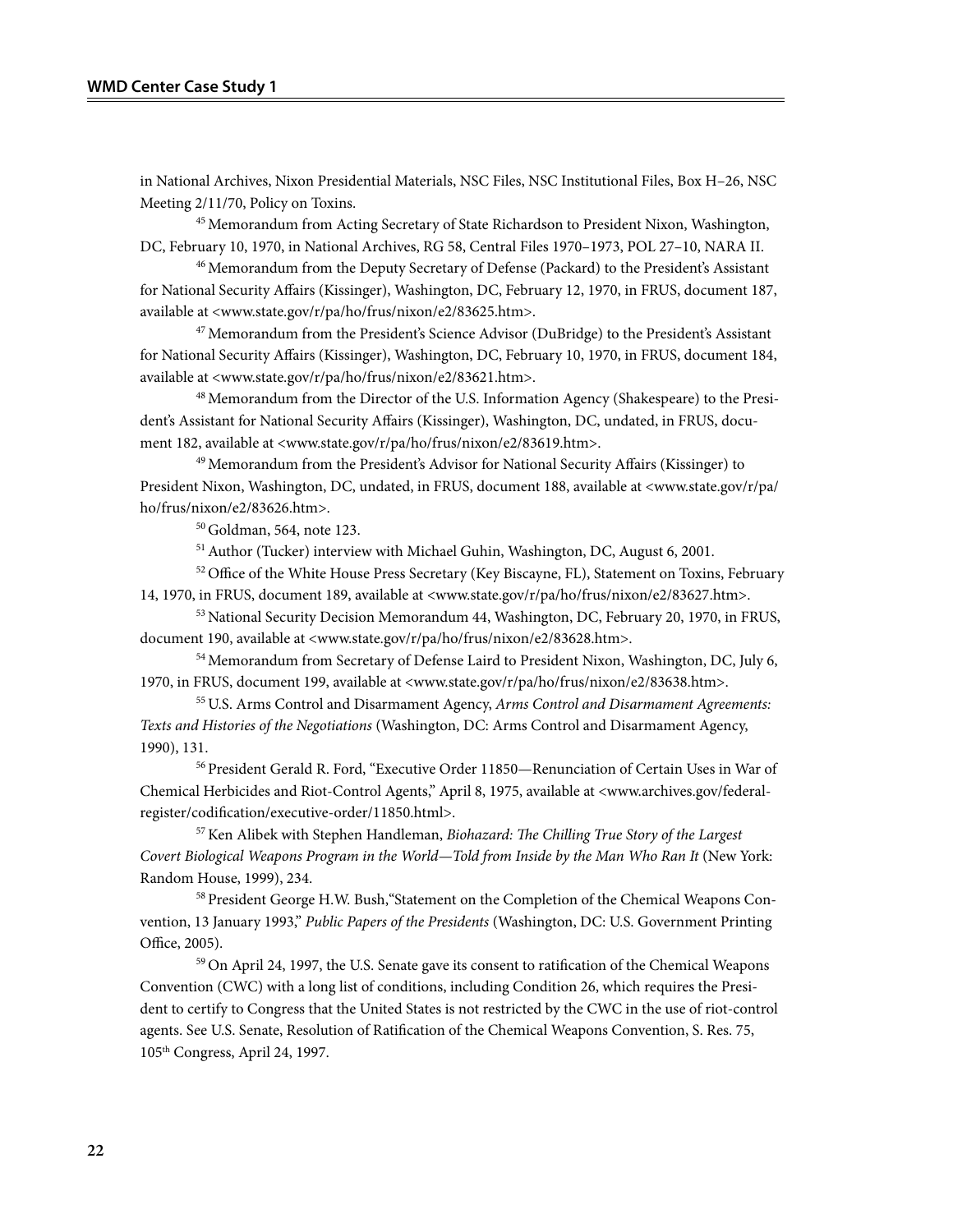in National Archives, Nixon Presidential Materials, NSC Files, NSC Institutional Files, Box H–26, NSC Meeting 2/11/70, Policy on Toxins.

45 Memorandum from Acting Secretary of State Richardson to President Nixon, Washington, DC, February 10, 1970, in National Archives, RG 58, Central Files 1970–1973, POL 27–10, NARA II.

<sup>46</sup> Memorandum from the Deputy Secretary of Defense (Packard) to the President's Assistant for National Security Affairs (Kissinger), Washington, DC, February 12, 1970, in FRUS, document 187, available at <www.state.gov/r/pa/ho/frus/nixon/e2/83625.htm>.

<sup>47</sup> Memorandum from the President's Science Advisor (DuBridge) to the President's Assistant for National Security Affairs (Kissinger), Washington, DC, February 10, 1970, in FRUS, document 184, available at <www.state.gov/r/pa/ho/frus/nixon/e2/83621.htm>.

48 Memorandum from the Director of the U.S. Information Agency (Shakespeare) to the President's Assistant for National Security Affairs (Kissinger), Washington, DC, undated, in FRUS, document 182, available at <www.state.gov/r/pa/ho/frus/nixon/e2/83619.htm>.

<sup>49</sup> Memorandum from the President's Advisor for National Security Affairs (Kissinger) to President Nixon, Washington, DC, undated, in FRUS, document 188, available at <www.state.gov/r/pa/ ho/frus/nixon/e2/83626.htm>.

50 Goldman, 564, note 123.

51 Author (Tucker) interview with Michael Guhin, Washington, DC, August 6, 2001.

<sup>52</sup> Office of the White House Press Secretary (Key Biscayne, FL), Statement on Toxins, February 14, 1970, in FRUS, document 189, available at <www.state.gov/r/pa/ho/frus/nixon/e2/83627.htm>.

<sup>53</sup> National Security Decision Memorandum 44, Washington, DC, February 20, 1970, in FRUS, document 190, available at <www.state.gov/r/pa/ho/frus/nixon/e2/83628.htm>.

54 Memorandum from Secretary of Defense Laird to President Nixon, Washington, DC, July 6, 1970, in FRUS, document 199, available at <www.state.gov/r/pa/ho/frus/nixon/e2/83638.htm>.

55 U.S. Arms Control and Disarmament Agency, *Arms Control and Disarmament Agreements: Texts and Histories of the Negotiations* (Washington, DC: Arms Control and Disarmament Agency, 1990), 131.

56 President Gerald R. Ford, "Executive Order 11850—Renunciation of Certain Uses in War of Chemical Herbicides and Riot-Control Agents," April 8, 1975, available at <www.archives.gov/federalregister/codification/executive-order/11850.html>.

57 Ken Alibek with Stephen Handleman, *Biohazard: The Chilling True Story of the Largest Covert Biological Weapons Program in the World—Told from Inside by the Man Who Ran It* (New York: Random House, 1999), 234.

58 President George H.W. Bush,"Statement on the Completion of the Chemical Weapons Convention, 13 January 1993," *Public Papers of the Presidents* (Washington, DC: U.S. Government Printing Office, 2005).

59 On April 24, 1997, the U.S. Senate gave its consent to ratification of the Chemical Weapons Convention (CWC) with a long list of conditions, including Condition 26, which requires the President to certify to Congress that the United States is not restricted by the CWC in the use of riot-control agents. See U.S. Senate, Resolution of Ratification of the Chemical Weapons Convention, S. Res. 75, 105th Congress, April 24, 1997.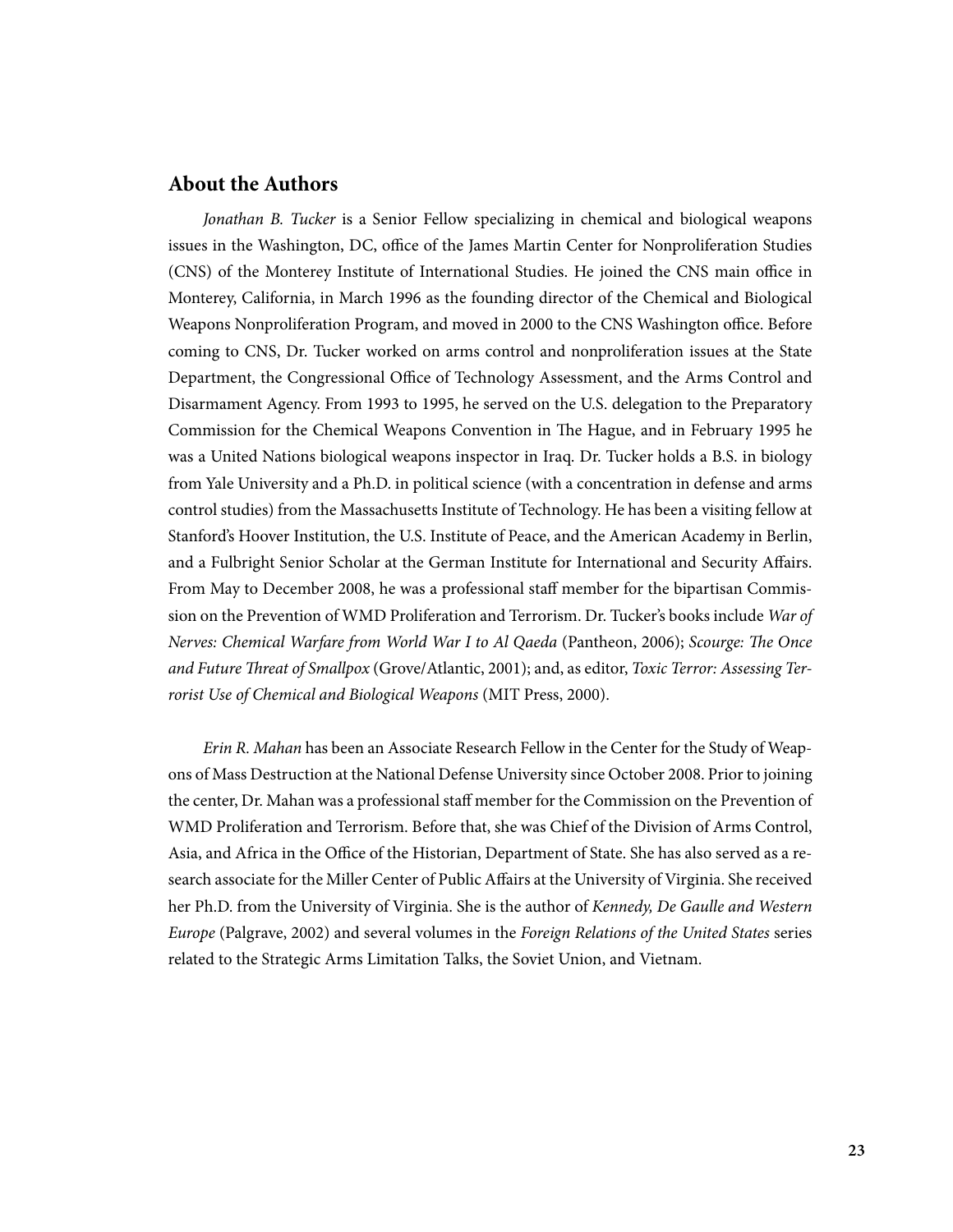### **About the Authors**

*Jonathan B. Tucker* is a Senior Fellow specializing in chemical and biological weapons issues in the Washington, DC, office of the James Martin Center for Nonproliferation Studies (CNS) of the Monterey Institute of International Studies. He joined the CNS main office in Monterey, California, in March 1996 as the founding director of the Chemical and Biological Weapons Nonproliferation Program, and moved in 2000 to the CNS Washington office. Before coming to CNS, Dr. Tucker worked on arms control and nonproliferation issues at the State Department, the Congressional Office of Technology Assessment, and the Arms Control and Disarmament Agency. From 1993 to 1995, he served on the U.S. delegation to the Preparatory Commission for the Chemical Weapons Convention in The Hague, and in February 1995 he was a United Nations biological weapons inspector in Iraq. Dr. Tucker holds a B.S. in biology from Yale University and a Ph.D. in political science (with a concentration in defense and arms control studies) from the Massachusetts Institute of Technology. He has been a visiting fellow at Stanford's Hoover Institution, the U.S. Institute of Peace, and the American Academy in Berlin, and a Fulbright Senior Scholar at the German Institute for International and Security Affairs. From May to December 2008, he was a professional staff member for the bipartisan Commission on the Prevention of WMD Proliferation and Terrorism. Dr. Tucker's books include *War of Nerves: Chemical Warfare from World War I to Al Qaeda* (Pantheon, 2006); *Scourge: The Once and Future Threat of Smallpox* (Grove/Atlantic, 2001); and, as editor, *Toxic Terror: Assessing Terrorist Use of Chemical and Biological Weapons* (MIT Press, 2000).

*Erin R. Mahan* has been an Associate Research Fellow in the Center for the Study of Weapons of Mass Destruction at the National Defense University since October 2008. Prior to joining the center, Dr. Mahan was a professional staff member for the Commission on the Prevention of WMD Proliferation and Terrorism. Before that, she was Chief of the Division of Arms Control, Asia, and Africa in the Office of the Historian, Department of State. She has also served as a research associate for the Miller Center of Public Affairs at the University of Virginia. She received her Ph.D. from the University of Virginia. She is the author of *Kennedy, De Gaulle and Western Europe* (Palgrave, 2002) and several volumes in the *Foreign Relations of the United States* series related to the Strategic Arms Limitation Talks, the Soviet Union, and Vietnam.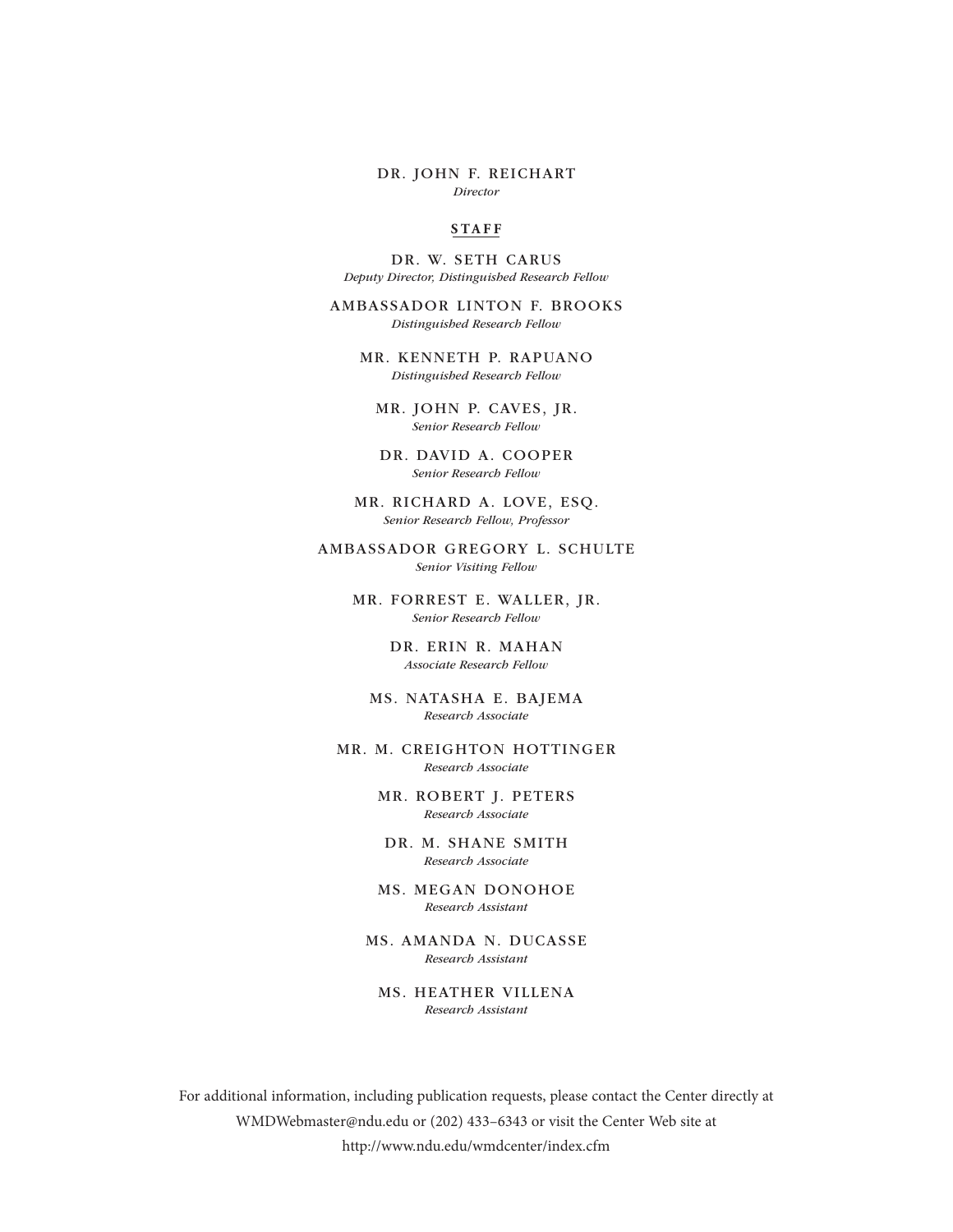#### DR. JOHN F. REICHART *Director*

#### **S TA F F**

DR. W. SETH CARUS *Deputy Director, Distinguished Research Fellow*

AMBASSADOR LINTON F. BROOKS *Distinguished Research Fellow*

MR. KENNETH P. RAPUANO *Distinguished Research Fellow*

MR. JOHN P. CAVES, JR. *Senior Research Fellow*

DR. DAVID A. COOPER *Senior Research Fellow*

MR. RICHARD A. LOVE, ESQ. *Senior Research Fellow, Professor*

AMBASSADOR GREGORY L. SCHULTE *Senior Visiting Fellow*

> MR. FORREST E. WALLER, JR. *Senior Research Fellow*

> > DR. ERIN R. MAHAN *Associate Research Fellow*

MS. NATASHA E. BAJEMA *Research Associate* 

MR. M. CREIGHTON HOTTINGER *Research Associate*

> MR. ROBERT J. PETERS *Research Associate*

DR. M. SHANE SMITH *Research Associate*

MS. MEGAN DONOHOE *Research Assistant*

MS. AMANDA N. DUCASSE *Research Assistant*

MS. HEATHER VILLENA *Research Assistant*

For additional information, including publication requests, please contact the Center directly at WMDWebmaster@ndu.edu or (202) 433–6343 or visit the Center Web site at http://www.ndu.edu/wmdcenter/index.cfm